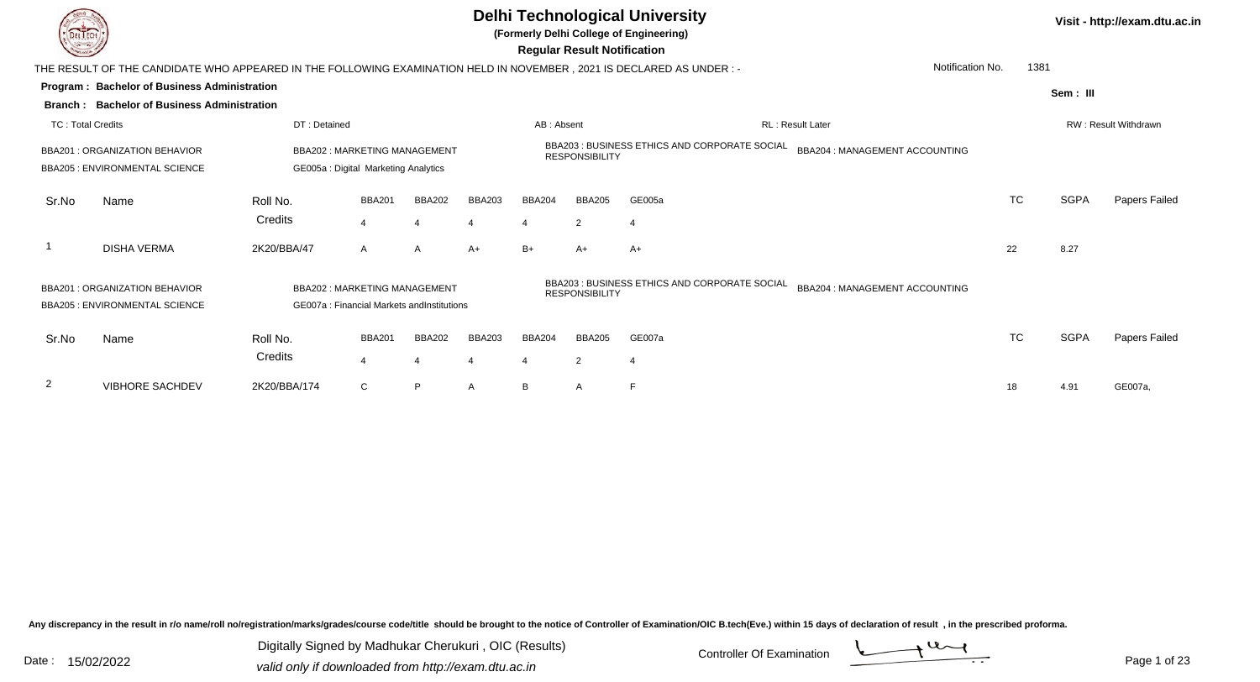

# **Delhi Technological University**

**(Formerly Delhi College of Engineering)**

 **Regular Result Notification**

| <b>Course Line</b>       |                                                                                                                                                                       |              |                                                                                   |               |               |               | ncyular ncədil nolllivation |                                               |                                |                  |             |                      |
|--------------------------|-----------------------------------------------------------------------------------------------------------------------------------------------------------------------|--------------|-----------------------------------------------------------------------------------|---------------|---------------|---------------|-----------------------------|-----------------------------------------------|--------------------------------|------------------|-------------|----------------------|
|                          | THE RESULT OF THE CANDIDATE WHO APPEARED IN THE FOLLOWING EXAMINATION HELD IN NOVEMBER , 2021 IS DECLARED AS UNDER :-                                                 |              |                                                                                   |               |               |               |                             |                                               |                                | Notification No. | 1381        |                      |
|                          | <b>Program: Bachelor of Business Administration</b>                                                                                                                   |              |                                                                                   |               |               |               |                             |                                               |                                |                  | Sem: III    |                      |
| Branch :                 | <b>Bachelor of Business Administration</b>                                                                                                                            |              |                                                                                   |               |               |               |                             |                                               |                                |                  |             |                      |
| <b>TC: Total Credits</b> |                                                                                                                                                                       | DT: Detained |                                                                                   |               |               | AB: Absent    |                             |                                               | RL: Result Later               |                  |             | RW: Result Withdrawn |
|                          | BBA202: MARKETING MANAGEMENT<br><b>BBA201: ORGANIZATION BEHAVIOR</b><br><b>BBA205: ENVIRONMENTAL SCIENCE</b><br>GE005a : Digital Marketing Analytics<br><b>BBA201</b> |              |                                                                                   |               |               |               | <b>RESPONSIBILITY</b>       | BBA203 : BUSINESS ETHICS AND CORPORATE SOCIAL | BBA204 : MANAGEMENT ACCOUNTING |                  |             |                      |
| Sr.No                    | Name                                                                                                                                                                  | Roll No.     |                                                                                   | <b>BBA202</b> | <b>BBA203</b> | <b>BBA204</b> | <b>BBA205</b>               | GE005a                                        |                                | TC               | <b>SGPA</b> | Papers Failed        |
|                          |                                                                                                                                                                       | Credits      | 4                                                                                 |               | 4             |               | 2                           |                                               |                                |                  |             |                      |
| -1                       | <b>DISHA VERMA</b>                                                                                                                                                    | 2K20/BBA/47  | A                                                                                 | A             | $A+$          | $B+$          | $A+$                        | $A+$                                          |                                | 22               | 8.27        |                      |
|                          | BBA201: ORGANIZATION BEHAVIOR<br><b>BBA205: ENVIRONMENTAL SCIENCE</b>                                                                                                 |              | <b>BBA202: MARKETING MANAGEMENT</b><br>GE007a: Financial Markets and Institutions |               |               |               | <b>RESPONSIBILITY</b>       | BBA203: BUSINESS ETHICS AND CORPORATE SOCIAL  | BBA204 : MANAGEMENT ACCOUNTING |                  |             |                      |
| Sr.No                    | Name                                                                                                                                                                  | Roll No.     | <b>BBA201</b>                                                                     | <b>BBA202</b> | <b>BBA203</b> | <b>BBA204</b> | <b>BBA205</b>               | GE007a                                        |                                | <b>TC</b>        | <b>SGPA</b> | Papers Failed        |
|                          |                                                                                                                                                                       | Credits      | $\overline{4}$                                                                    |               | 4             | 4             | 2                           |                                               |                                |                  |             |                      |
| $\overline{2}$           | <b>VIBHORE SACHDEV</b>                                                                                                                                                | 2K20/BBA/174 | C                                                                                 | P             | A             | B             | A                           |                                               |                                | 18               | 4.91        | GE007a,              |

Any discrepancy in the result in r/o name/roll no/registration/marks/grades/course code/title should be brought to the notice of Controller of Examination/OIC B.tech(Eve.) within 15 days of declaration of result, in the pr

Date : 15/02/2022<br>
valid only if downloaded from http://exam.dtu.ac.in<br>
Date : 15/02/2022 Digitally Signed by Madhukar Cherukuri , OIC (Results)

**Visit - http://exam.dtu.ac.in**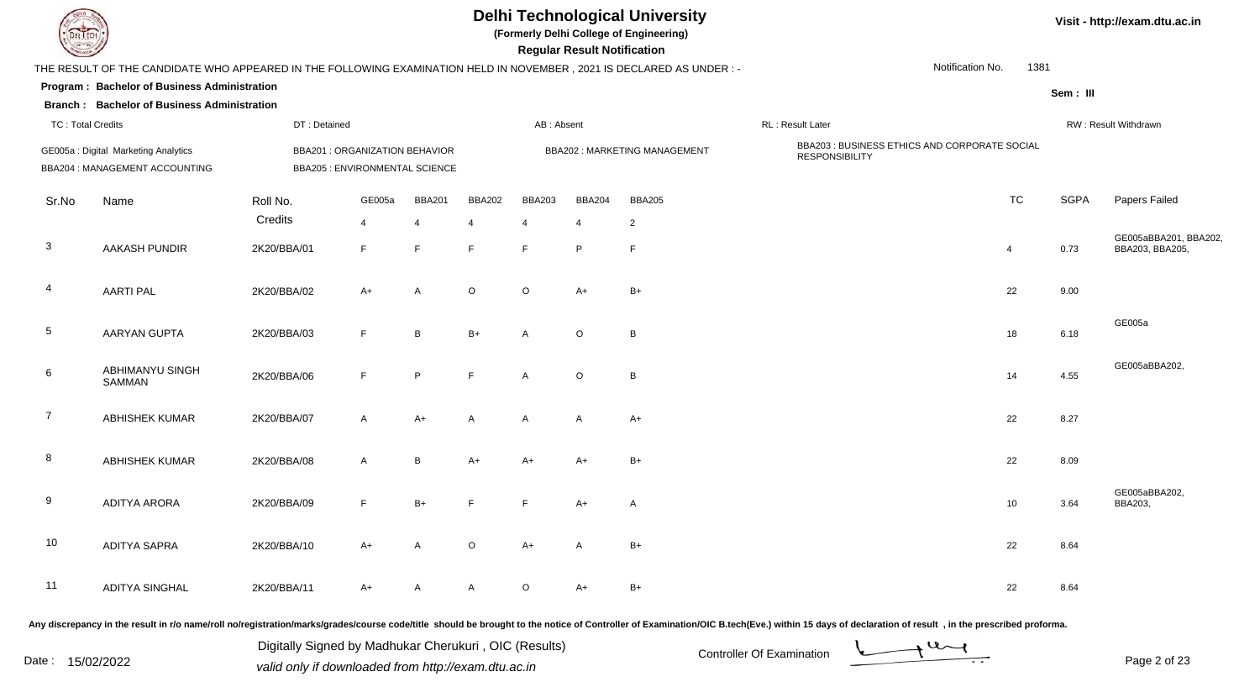### **Delhi Technological University**

**(Formerly Delhi College of Engineering)**

 **Regular Result Notification**

| <b>Command</b>           |                                                                                                                      |              |                                                                  |                |                |                | Regular Result Notification |                              |                                                                        |                |             |                                          |
|--------------------------|----------------------------------------------------------------------------------------------------------------------|--------------|------------------------------------------------------------------|----------------|----------------|----------------|-----------------------------|------------------------------|------------------------------------------------------------------------|----------------|-------------|------------------------------------------|
|                          | THE RESULT OF THE CANDIDATE WHO APPEARED IN THE FOLLOWING EXAMINATION HELD IN NOVEMBER, 2021 IS DECLARED AS UNDER :- |              |                                                                  |                |                |                |                             |                              | Notification No.                                                       | 1381           |             |                                          |
|                          | Program: Bachelor of Business Administration                                                                         |              |                                                                  |                |                |                |                             |                              |                                                                        |                | Sem: III    |                                          |
|                          | <b>Branch: Bachelor of Business Administration</b>                                                                   |              |                                                                  |                |                |                |                             |                              |                                                                        |                |             |                                          |
| <b>TC: Total Credits</b> |                                                                                                                      | DT: Detained |                                                                  |                |                | AB: Absent     |                             |                              | RL: Result Later                                                       |                |             | RW: Result Withdrawn                     |
|                          | GE005a : Digital Marketing Analytics<br>BBA204 : MANAGEMENT ACCOUNTING                                               |              | BBA201 : ORGANIZATION BEHAVIOR<br>BBA205 : ENVIRONMENTAL SCIENCE |                |                |                |                             | BBA202: MARKETING MANAGEMENT | BBA203 : BUSINESS ETHICS AND CORPORATE SOCIAL<br><b>RESPONSIBILITY</b> |                |             |                                          |
| Sr.No                    | Name                                                                                                                 | Roll No.     | GE005a                                                           | <b>BBA201</b>  | <b>BBA202</b>  | <b>BBA203</b>  | <b>BBA204</b>               | <b>BBA205</b>                |                                                                        | <b>TC</b>      | <b>SGPA</b> | Papers Failed                            |
|                          |                                                                                                                      | Credits      | $\overline{4}$                                                   | $\overline{4}$ | $\overline{4}$ | $\overline{4}$ | $\overline{4}$              | $\overline{2}$               |                                                                        |                |             |                                          |
| $\mathbf{3}$             | AAKASH PUNDIR                                                                                                        | 2K20/BBA/01  | F                                                                | F.             | $\mathsf{F}$   | F.             | P                           | $\mathsf{F}$                 |                                                                        | $\overline{4}$ | 0.73        | GE005aBBA201, BBA202,<br>BBA203, BBA205, |
| $\overline{4}$           | <b>AARTI PAL</b>                                                                                                     | 2K20/BBA/02  | $A+$                                                             | A              | $\circ$        | $\circ$        | $A+$                        | $B+$                         |                                                                        | 22             | 9.00        |                                          |
| $5\phantom{.0}$          | AARYAN GUPTA                                                                                                         | 2K20/BBA/03  | F                                                                | B              | $B+$           | A              | $\circ$                     | B                            |                                                                        | 18             | 6.18        | GE005a                                   |
| 6                        | <b>ABHIMANYU SINGH</b><br>SAMMAN                                                                                     | 2K20/BBA/06  | F.                                                               | P              | F              | A              | $\circ$                     | B                            |                                                                        | 14             | 4.55        | GE005aBBA202,                            |
| $\overline{7}$           | ABHISHEK KUMAR                                                                                                       | 2K20/BBA/07  | $\mathsf{A}$                                                     | $A+$           | $\overline{A}$ | $\mathsf{A}$   | $\mathsf{A}$                | $A+$                         |                                                                        | 22             | 8.27        |                                          |
| 8                        | <b>ABHISHEK KUMAR</b>                                                                                                | 2K20/BBA/08  | $\mathsf{A}$                                                     | B              | $A+$           | A+             | $A+$                        | $B+$                         |                                                                        | 22             | 8.09        |                                          |
| 9                        | <b>ADITYA ARORA</b>                                                                                                  | 2K20/BBA/09  | $\mathsf F$                                                      | $B+$           | E              | F              | $A+$                        | $\mathsf{A}$                 |                                                                        | 10             | 3.64        | GE005aBBA202,<br>BBA203,                 |
| 10                       | <b>ADITYA SAPRA</b>                                                                                                  | 2K20/BBA/10  | $A+$                                                             | A              | $\circ$        | $A+$           | A                           | $B+$                         |                                                                        | 22             | 8.64        |                                          |
| 11                       | <b>ADITYA SINGHAL</b>                                                                                                | 2K20/BBA/11  | A+                                                               | A              | A              | O              | A+                          | B+                           |                                                                        | 22             | 8.64        |                                          |

Any discrepancy in the result in r/o name/roll no/registration/marks/grades/course code/title should be brought to the notice of Controller of Examination/OIC B.tech(Eve.) within 15 days of declaration of result, in the pr

Date : 15/02/2022<br>
valid only if downloaded from http://exam.dtu.ac.in<br>
Date : 15/02/2022

Digitally Signed by Madhukar Cherukuri , OIC (Results)

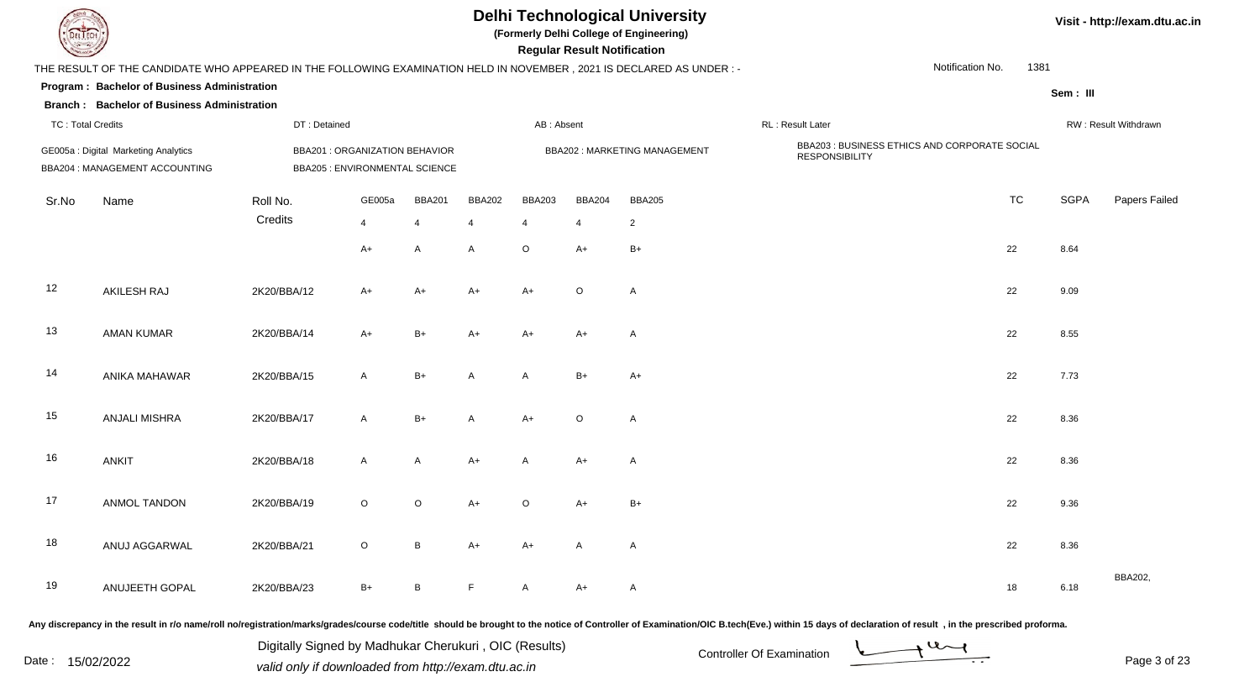| EL ECH                   |                                                                                                                     |                                                                  |                |                 |               |                | <b>Regular Result Notification</b> | <b>Delhi Technological University</b><br>(Formerly Delhi College of Engineering) |                                                                        |                  |           |             | Visit - http://exam.dtu.ac.in |
|--------------------------|---------------------------------------------------------------------------------------------------------------------|------------------------------------------------------------------|----------------|-----------------|---------------|----------------|------------------------------------|----------------------------------------------------------------------------------|------------------------------------------------------------------------|------------------|-----------|-------------|-------------------------------|
|                          | THE RESULT OF THE CANDIDATE WHO APPEARED IN THE FOLLOWING EXAMINATION HELD IN NOVEMBER, 2021 IS DECLARED AS UNDER:- |                                                                  |                |                 |               |                |                                    |                                                                                  |                                                                        | Notification No. | 1381      |             |                               |
|                          | Program: Bachelor of Business Administration                                                                        |                                                                  |                |                 |               |                |                                    |                                                                                  |                                                                        |                  |           | Sem: III    |                               |
|                          | <b>Branch: Bachelor of Business Administration</b>                                                                  |                                                                  |                |                 |               |                |                                    |                                                                                  |                                                                        |                  |           |             |                               |
| <b>TC: Total Credits</b> |                                                                                                                     | DT: Detained                                                     |                |                 |               | AB: Absent     |                                    |                                                                                  | RL : Result Later                                                      |                  |           |             | RW: Result Withdrawn          |
|                          | GE005a : Digital Marketing Analytics<br>BBA204 : MANAGEMENT ACCOUNTING                                              | BBA201 : ORGANIZATION BEHAVIOR<br>BBA205 : ENVIRONMENTAL SCIENCE |                |                 |               |                |                                    | BBA202: MARKETING MANAGEMENT                                                     | BBA203 : BUSINESS ETHICS AND CORPORATE SOCIAL<br><b>RESPONSIBILITY</b> |                  |           |             |                               |
| Sr.No                    | Name                                                                                                                | Roll No.                                                         | GE005a         | <b>BBA201</b>   | <b>BBA202</b> | <b>BBA203</b>  | <b>BBA204</b>                      | <b>BBA205</b>                                                                    |                                                                        |                  | <b>TC</b> | <b>SGPA</b> | Papers Failed                 |
|                          |                                                                                                                     | Credits                                                          | $\overline{4}$ | $\overline{4}$  | 4             | $\overline{4}$ | $\overline{4}$                     | $\overline{2}$                                                                   |                                                                        |                  |           |             |                               |
|                          |                                                                                                                     |                                                                  | A+             | A               | A             | $\circ$        | A+                                 | $B+$                                                                             |                                                                        | 22               |           | 8.64        |                               |
| 12                       | AKILESH RAJ                                                                                                         | 2K20/BBA/12                                                      | A+             | $A+$            | $A+$          | $A+$           | $\circ$                            | $\overline{A}$                                                                   |                                                                        |                  | 22        | 9.09        |                               |
| 13                       | <b>AMAN KUMAR</b>                                                                                                   | 2K20/BBA/14                                                      | $A+$           | B+              | $A+$          | $A+$           | $A+$                               | $\overline{A}$                                                                   |                                                                        |                  | 22        | 8.55        |                               |
| 14                       | ANIKA MAHAWAR                                                                                                       | 2K20/BBA/15                                                      | A              | B+              | A             | A              | $B+$                               | $A+$                                                                             |                                                                        | 22               |           | 7.73        |                               |
| 15                       | <b>ANJALI MISHRA</b>                                                                                                | 2K20/BBA/17                                                      | A              | $B+$            | A             | $A+$           | $\circ$                            | $\overline{A}$                                                                   |                                                                        |                  | 22        | 8.36        |                               |
| 16                       | <b>ANKIT</b>                                                                                                        | 2K20/BBA/18                                                      | A              | A               | $A+$          | A              | $A+$                               | $\overline{A}$                                                                   |                                                                        | 22               |           | 8.36        |                               |
| 17                       | <b>ANMOL TANDON</b>                                                                                                 | 2K20/BBA/19                                                      | $\circ$        | $\circ$         | A+            | $\circ$        | A+                                 | $B+$                                                                             |                                                                        |                  | 22        | 9.36        |                               |
| 18                       | ANUJ AGGARWAL                                                                                                       | 2K20/BBA/21                                                      | $\circ$        | $\, {\bf B} \,$ | $A+$          | $A+$           | A                                  | $\mathsf{A}$                                                                     |                                                                        |                  | 22        | 8.36        |                               |
| 19                       | ANUJEETH GOPAL                                                                                                      | 2K20/BBA/23                                                      | $B+$           | $\, {\bf B} \,$ | F             | A              | A+                                 | $\mathsf{A}$                                                                     |                                                                        |                  | 18        | 6.18        | BBA202,                       |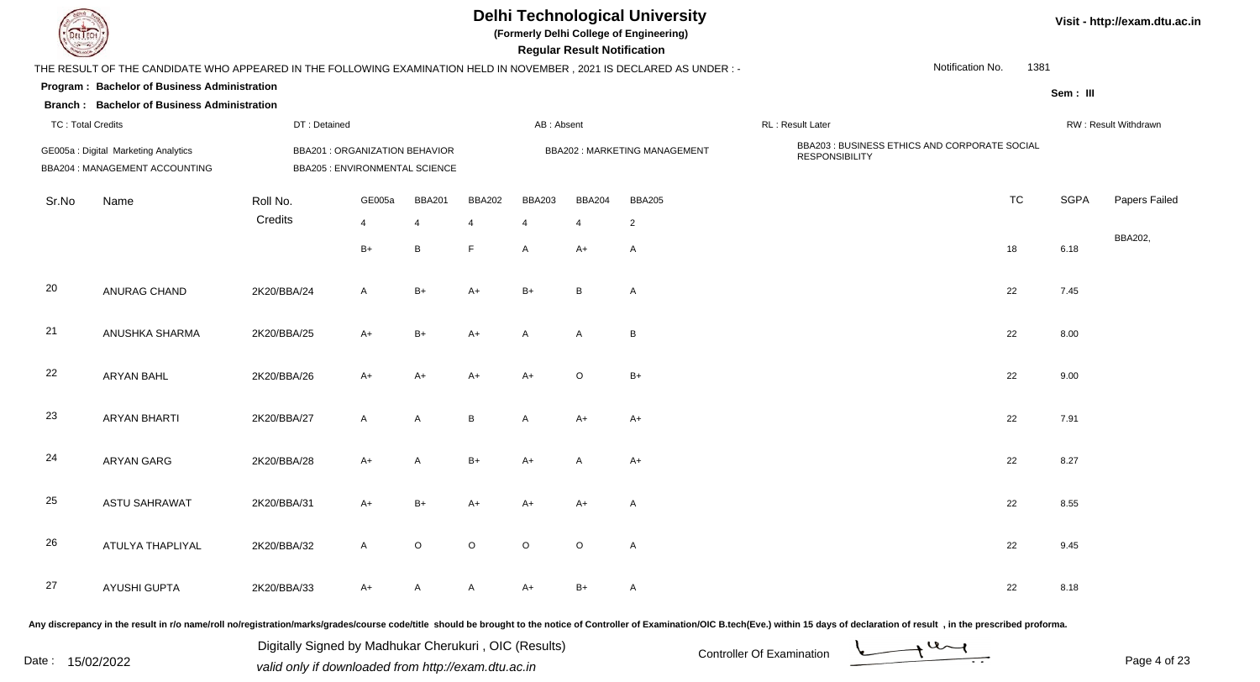| EL ECH                   |                                                                                                                     |                                                                         |              |               |               |               | <b>Regular Result Notification</b> | <b>Delhi Technological University</b><br>(Formerly Delhi College of Engineering) |                                                                        |                  |           |             | Visit - http://exam.dtu.ac.in |
|--------------------------|---------------------------------------------------------------------------------------------------------------------|-------------------------------------------------------------------------|--------------|---------------|---------------|---------------|------------------------------------|----------------------------------------------------------------------------------|------------------------------------------------------------------------|------------------|-----------|-------------|-------------------------------|
|                          | THE RESULT OF THE CANDIDATE WHO APPEARED IN THE FOLLOWING EXAMINATION HELD IN NOVEMBER, 2021 IS DECLARED AS UNDER:- |                                                                         |              |               |               |               |                                    |                                                                                  |                                                                        | Notification No. | 1381      |             |                               |
|                          | Program: Bachelor of Business Administration<br><b>Branch: Bachelor of Business Administration</b>                  |                                                                         |              |               |               |               |                                    |                                                                                  |                                                                        |                  |           | Sem: III    |                               |
| <b>TC: Total Credits</b> |                                                                                                                     | DT: Detained                                                            |              |               |               | AB: Absent    |                                    |                                                                                  | RL: Result Later                                                       |                  |           |             | RW: Result Withdrawn          |
|                          | GE005a : Digital Marketing Analytics<br>BBA204 : MANAGEMENT ACCOUNTING                                              | <b>BBA201 : ORGANIZATION BEHAVIOR</b><br>BBA205 : ENVIRONMENTAL SCIENCE |              |               |               |               |                                    | <b>BBA202: MARKETING MANAGEMENT</b>                                              | BBA203 : BUSINESS ETHICS AND CORPORATE SOCIAL<br><b>RESPONSIBILITY</b> |                  |           |             |                               |
| Sr.No                    | Name                                                                                                                | Roll No.                                                                | GE005a       | <b>BBA201</b> | <b>BBA202</b> | <b>BBA203</b> | <b>BBA204</b>                      | <b>BBA205</b>                                                                    |                                                                        |                  | <b>TC</b> | <b>SGPA</b> | Papers Failed                 |
|                          |                                                                                                                     | Credits                                                                 | 4            | 4             | 4             | 4             | $\overline{4}$                     | $\overline{2}$                                                                   |                                                                        |                  |           |             |                               |
|                          |                                                                                                                     |                                                                         | $B+$         | $\mathsf B$   | E             | $\mathsf{A}$  | A+                                 | Α                                                                                |                                                                        |                  | 18        | 6.18        | BBA202,                       |
| 20                       | ANURAG CHAND                                                                                                        | 2K20/BBA/24                                                             | A            | $B+$          | A+            | $B+$          | B                                  | A                                                                                |                                                                        |                  | 22        | 7.45        |                               |
| 21                       | ANUSHKA SHARMA                                                                                                      | 2K20/BBA/25                                                             | $A+$         | $B+$          | $A+$          | A             | A                                  | B                                                                                |                                                                        |                  | 22        | 8.00        |                               |
| 22                       | ARYAN BAHL                                                                                                          | 2K20/BBA/26                                                             | $A+$         | $A+$          | A+            | $A+$          | $\circ$                            | $B+$                                                                             |                                                                        |                  | 22        | 9.00        |                               |
| 23                       | <b>ARYAN BHARTI</b>                                                                                                 | 2K20/BBA/27                                                             | $\mathsf{A}$ | A             | B             | $\mathsf{A}$  | $A+$                               | $A+$                                                                             |                                                                        |                  | 22        | 7.91        |                               |
| 24                       | <b>ARYAN GARG</b>                                                                                                   | 2K20/BBA/28                                                             | $A+$         | A             | $B+$          | $A+$          | A                                  | A+                                                                               |                                                                        |                  | 22        | 8.27        |                               |
| 25                       | <b>ASTU SAHRAWAT</b>                                                                                                | 2K20/BBA/31                                                             | A+           | $B+$          | A+            | A+            | A+                                 | A                                                                                |                                                                        |                  | 22        | 8.55        |                               |
| 26                       | ATULYA THAPLIYAL                                                                                                    | 2K20/BBA/32                                                             | A            | $\mathsf O$   | $\circ$       | $\circ$       | $\circ$                            | $\mathsf{A}$                                                                     |                                                                        |                  | 22        | 9.45        |                               |
| 27                       | AYUSHI GUPTA                                                                                                        | 2K20/BBA/33                                                             | $A+$         | $\mathsf{A}$  | A             | $A+$          | $B+$                               | $\mathsf{A}$                                                                     |                                                                        |                  | 22        | 8.18        |                               |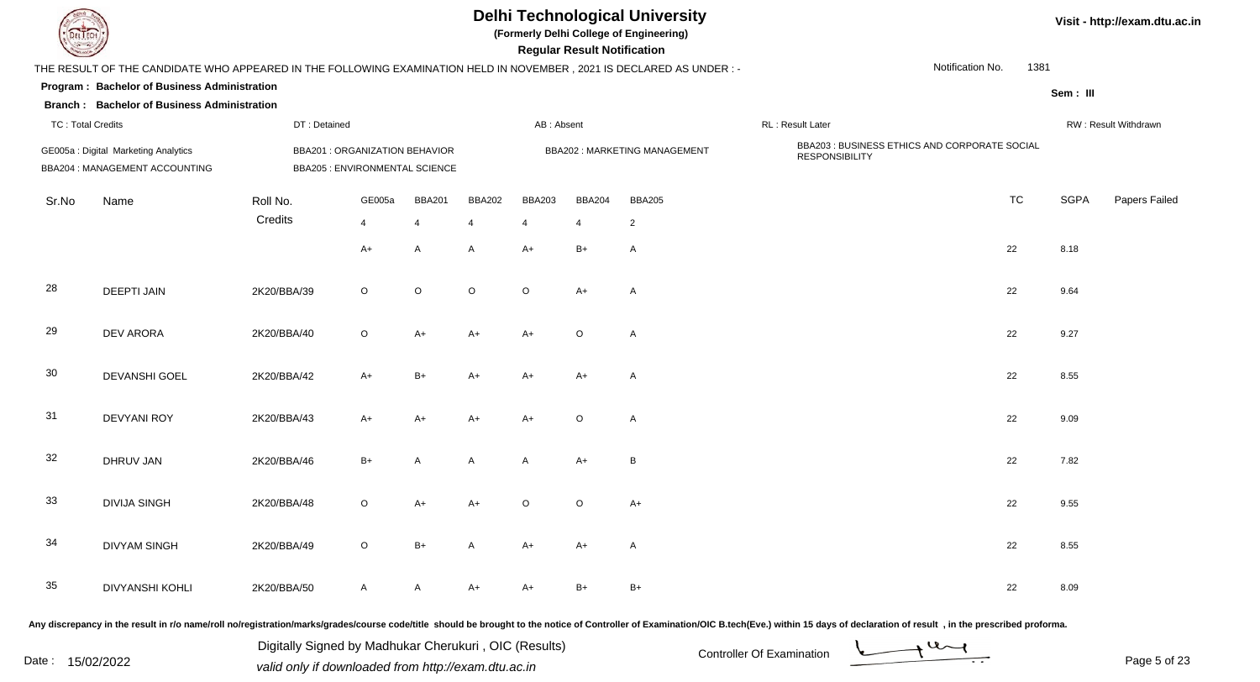| EL ECH                   |                                                                                                                     |                                                                         |         |               |               |                | <b>Regular Result Notification</b> | <b>Delhi Technological University</b><br>(Formerly Delhi College of Engineering) |                                                                        |                  |      |             | Visit - http://exam.dtu.ac.in |
|--------------------------|---------------------------------------------------------------------------------------------------------------------|-------------------------------------------------------------------------|---------|---------------|---------------|----------------|------------------------------------|----------------------------------------------------------------------------------|------------------------------------------------------------------------|------------------|------|-------------|-------------------------------|
|                          | THE RESULT OF THE CANDIDATE WHO APPEARED IN THE FOLLOWING EXAMINATION HELD IN NOVEMBER, 2021 IS DECLARED AS UNDER:- |                                                                         |         |               |               |                |                                    |                                                                                  |                                                                        | Notification No. | 1381 |             |                               |
|                          | Program: Bachelor of Business Administration                                                                        |                                                                         |         |               |               |                |                                    |                                                                                  |                                                                        |                  |      | Sem: III    |                               |
|                          | <b>Branch: Bachelor of Business Administration</b>                                                                  |                                                                         |         |               |               |                |                                    |                                                                                  |                                                                        |                  |      |             |                               |
| <b>TC: Total Credits</b> |                                                                                                                     | DT: Detained                                                            |         |               |               | AB: Absent     |                                    |                                                                                  | RL : Result Later                                                      |                  |      |             | RW: Result Withdrawn          |
|                          | GE005a : Digital Marketing Analytics<br>BBA204 : MANAGEMENT ACCOUNTING                                              | <b>BBA201 : ORGANIZATION BEHAVIOR</b><br>BBA205 : ENVIRONMENTAL SCIENCE |         |               |               |                |                                    | <b>BBA202: MARKETING MANAGEMENT</b>                                              | BBA203 : BUSINESS ETHICS AND CORPORATE SOCIAL<br><b>RESPONSIBILITY</b> |                  |      |             |                               |
| Sr.No                    | Name                                                                                                                | Roll No.                                                                | GE005a  | <b>BBA201</b> | <b>BBA202</b> | <b>BBA203</b>  | <b>BBA204</b>                      | <b>BBA205</b>                                                                    |                                                                        | <b>TC</b>        |      | <b>SGPA</b> | Papers Failed                 |
|                          |                                                                                                                     | Credits                                                                 | 4       | 4             | 4             | $\overline{4}$ | $\overline{4}$                     | $\overline{2}$                                                                   |                                                                        |                  |      |             |                               |
|                          |                                                                                                                     |                                                                         | A+      | A             | A             | $A+$           | $B+$                               | Α                                                                                |                                                                        | 22               |      | 8.18        |                               |
| 28                       | <b>DEEPTI JAIN</b>                                                                                                  | 2K20/BBA/39                                                             | $\circ$ | $\mathsf O$   | $\circ$       | $\circ$        | A+                                 | A                                                                                |                                                                        | 22               |      | 9.64        |                               |
| 29                       | <b>DEV ARORA</b>                                                                                                    | 2K20/BBA/40                                                             | $\circ$ | $A+$          | A+            | $A+$           | $\circ$                            | $\mathsf{A}$                                                                     |                                                                        | 22               |      | 9.27        |                               |
| 30                       | DEVANSHI GOEL                                                                                                       | 2K20/BBA/42                                                             | $A+$    | $B+$          | $A+$          | $A+$           | A+                                 | $\mathsf{A}$                                                                     |                                                                        | 22               |      | 8.55        |                               |
| 31                       | <b>DEVYANI ROY</b>                                                                                                  | 2K20/BBA/43                                                             | $A+$    | $A+$          | A+            | $A+$           | $\circ$                            | A                                                                                |                                                                        | 22               |      | 9.09        |                               |
| 32                       | DHRUV JAN                                                                                                           | 2K20/BBA/46                                                             | $B+$    | A             | A             | $\mathsf{A}$   | $A+$                               | B                                                                                |                                                                        | 22               |      | 7.82        |                               |
| 33                       | <b>DIVIJA SINGH</b>                                                                                                 | 2K20/BBA/48                                                             | $\circ$ | A+            | A+            | ∩              | $\circ$                            | A+                                                                               |                                                                        | 22               |      | 9.55        |                               |
| 34                       | <b>DIVYAM SINGH</b>                                                                                                 | 2K20/BBA/49                                                             | $\circ$ | $B+$          | A             | $A+$           | A+                                 | A                                                                                |                                                                        | 22               |      | 8.55        |                               |
| 35                       | <b>DIVYANSHI KOHLI</b>                                                                                              | 2K20/BBA/50                                                             | A       | $\mathsf{A}$  | $A+$          | $A+$           | $B+$                               | $B+$                                                                             |                                                                        | 22               |      | 8.09        |                               |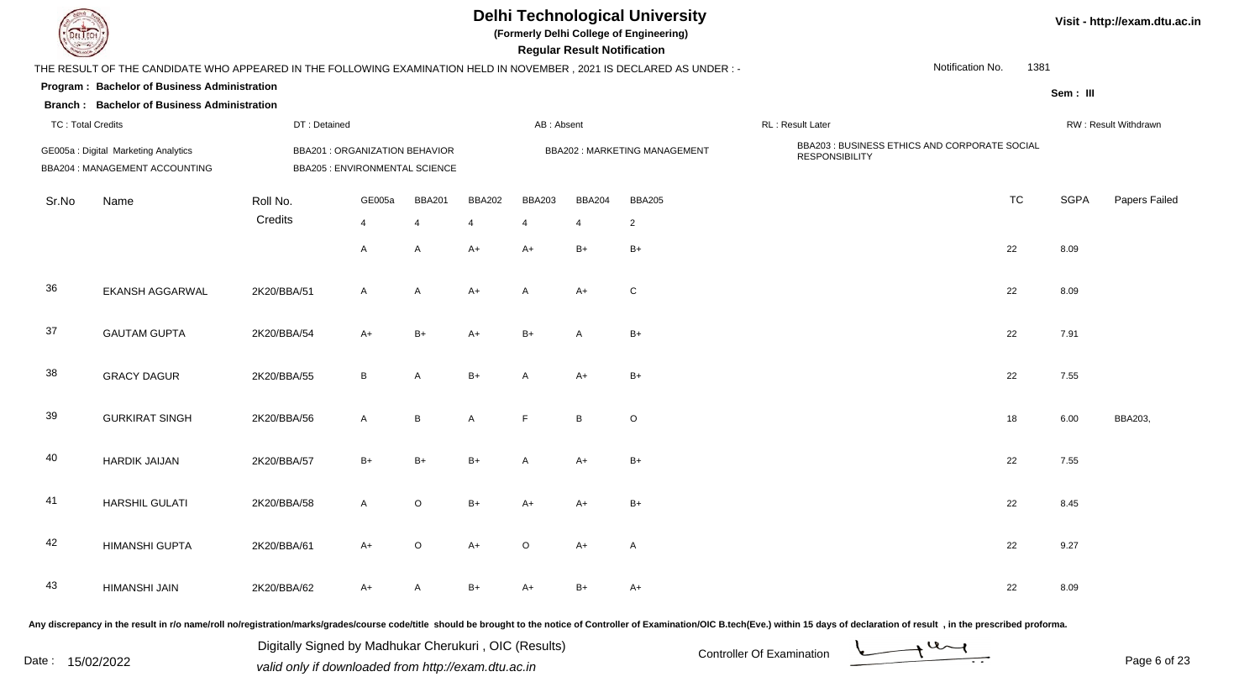| EL ECH                   |                                                                                                                      |              |                                                                         |                |               |               | <b>Regular Result Notification</b> | <b>Delhi Technological University</b><br>(Formerly Delhi College of Engineering) |                                                                        |                  |           |             | Visit - http://exam.dtu.ac.in |
|--------------------------|----------------------------------------------------------------------------------------------------------------------|--------------|-------------------------------------------------------------------------|----------------|---------------|---------------|------------------------------------|----------------------------------------------------------------------------------|------------------------------------------------------------------------|------------------|-----------|-------------|-------------------------------|
|                          | THE RESULT OF THE CANDIDATE WHO APPEARED IN THE FOLLOWING EXAMINATION HELD IN NOVEMBER, 2021 IS DECLARED AS UNDER :- |              |                                                                         |                |               |               |                                    |                                                                                  |                                                                        | Notification No. | 1381      |             |                               |
|                          | Program: Bachelor of Business Administration<br><b>Branch: Bachelor of Business Administration</b>                   |              |                                                                         |                |               |               |                                    |                                                                                  |                                                                        |                  |           | Sem: III    |                               |
| <b>TC: Total Credits</b> |                                                                                                                      | DT: Detained |                                                                         |                |               | AB: Absent    |                                    |                                                                                  | RL: Result Later                                                       |                  |           |             | RW: Result Withdrawn          |
|                          | GE005a: Digital Marketing Analytics<br>BBA204 : MANAGEMENT ACCOUNTING                                                |              | <b>BBA201 : ORGANIZATION BEHAVIOR</b><br>BBA205 : ENVIRONMENTAL SCIENCE |                |               |               |                                    | BBA202: MARKETING MANAGEMENT                                                     | BBA203 : BUSINESS ETHICS AND CORPORATE SOCIAL<br><b>RESPONSIBILITY</b> |                  |           |             |                               |
| Sr.No                    | Name                                                                                                                 | Roll No.     | GE005a                                                                  | <b>BBA201</b>  | <b>BBA202</b> | <b>BBA203</b> | <b>BBA204</b>                      | <b>BBA205</b>                                                                    |                                                                        |                  | <b>TC</b> | <b>SGPA</b> | Papers Failed                 |
|                          |                                                                                                                      | Credits      | 4                                                                       | $\overline{4}$ | 4             | 4             | $\overline{4}$                     | $\overline{2}$                                                                   |                                                                        |                  |           |             |                               |
|                          |                                                                                                                      |              | A                                                                       | A              | $A+$          | $A+$          | $B+$                               | $B+$                                                                             |                                                                        | 22               |           | 8.09        |                               |
| 36                       | <b>EKANSH AGGARWAL</b>                                                                                               | 2K20/BBA/51  | $\mathsf{A}$                                                            | A              | $A+$          | $\mathsf{A}$  | $A+$                               | ${\bf C}$                                                                        |                                                                        | 22               |           | 8.09        |                               |
| 37                       | <b>GAUTAM GUPTA</b>                                                                                                  | 2K20/BBA/54  | $A+$                                                                    | $B+$           | $A+$          | $B+$          | A                                  | $B+$                                                                             |                                                                        | 22               |           | 7.91        |                               |
| 38                       | <b>GRACY DAGUR</b>                                                                                                   | 2K20/BBA/55  | B                                                                       | A              | $B+$          | A             | A+                                 | $B+$                                                                             |                                                                        | 22               |           | 7.55        |                               |
| 39                       | <b>GURKIRAT SINGH</b>                                                                                                | 2K20/BBA/56  | A                                                                       | $\, {\bf B}$   | A             | $\mathsf{F}$  | B                                  | $\mathsf O$                                                                      |                                                                        | 18               |           | 6.00        | BBA203,                       |
| 40                       | <b>HARDIK JAIJAN</b>                                                                                                 | 2K20/BBA/57  | $B+$                                                                    | $B+$           | $B+$          | A             | $A+$                               | $B+$                                                                             |                                                                        | 22               |           | 7.55        |                               |
| 41                       | HARSHIL GULATI                                                                                                       | 2K20/BBA/58  | A                                                                       | $\circ$        | $B+$          | A+            | A+                                 | $B+$                                                                             |                                                                        | 22               |           | 8.45        |                               |
| 42                       | <b>HIMANSHI GUPTA</b>                                                                                                | 2K20/BBA/61  | $A+$                                                                    | $\circ$        | $A+$          | $\circ$       | $A+$                               | $\mathsf{A}$                                                                     |                                                                        | 22               |           | 9.27        |                               |
| 43                       | HIMANSHI JAIN                                                                                                        | 2K20/BBA/62  | A+                                                                      | $\mathsf{A}$   | $B+$          | $A+$          | $B+$                               | $A+$                                                                             |                                                                        | 22               |           | 8.09        |                               |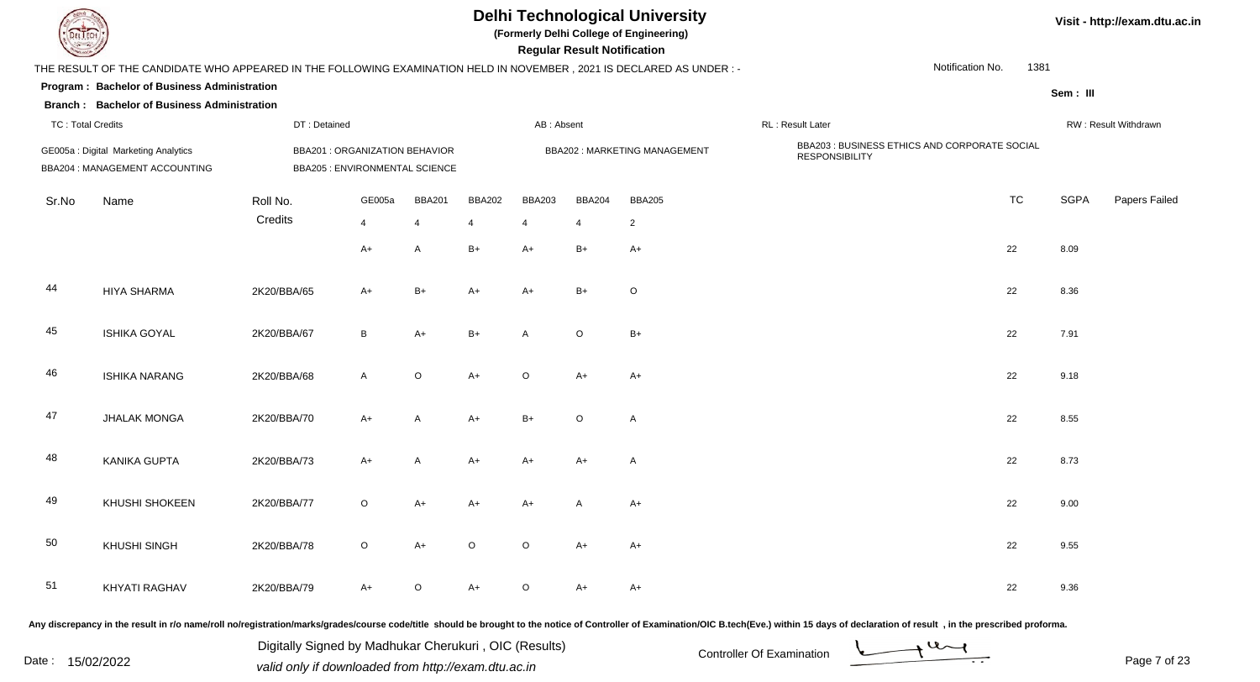| LI ECH                   |                                                                                                                      |                                                                         |              |                |                |               | <b>Regular Result Notification</b> | <b>Delhi Technological University</b><br>(Formerly Delhi College of Engineering) |                                                                        |                  |      |             | Visit - http://exam.dtu.ac.in |
|--------------------------|----------------------------------------------------------------------------------------------------------------------|-------------------------------------------------------------------------|--------------|----------------|----------------|---------------|------------------------------------|----------------------------------------------------------------------------------|------------------------------------------------------------------------|------------------|------|-------------|-------------------------------|
|                          | THE RESULT OF THE CANDIDATE WHO APPEARED IN THE FOLLOWING EXAMINATION HELD IN NOVEMBER, 2021 IS DECLARED AS UNDER :- |                                                                         |              |                |                |               |                                    |                                                                                  |                                                                        | Notification No. | 1381 |             |                               |
|                          | Program: Bachelor of Business Administration<br><b>Branch: Bachelor of Business Administration</b>                   |                                                                         |              |                |                |               |                                    |                                                                                  |                                                                        |                  |      | Sem: III    |                               |
| <b>TC: Total Credits</b> |                                                                                                                      | DT: Detained                                                            |              |                |                | AB: Absent    |                                    |                                                                                  | RL : Result Later                                                      |                  |      |             | RW: Result Withdrawn          |
|                          | GE005a : Digital Marketing Analytics<br>BBA204 : MANAGEMENT ACCOUNTING                                               | <b>BBA201 : ORGANIZATION BEHAVIOR</b><br>BBA205 : ENVIRONMENTAL SCIENCE |              |                |                |               |                                    | <b>BBA202: MARKETING MANAGEMENT</b>                                              | BBA203 : BUSINESS ETHICS AND CORPORATE SOCIAL<br><b>RESPONSIBILITY</b> |                  |      |             |                               |
| Sr.No                    | Name                                                                                                                 | Roll No.                                                                | GE005a       | <b>BBA201</b>  | <b>BBA202</b>  | <b>BBA203</b> | <b>BBA204</b>                      | <b>BBA205</b>                                                                    |                                                                        | <b>TC</b>        |      | <b>SGPA</b> | Papers Failed                 |
|                          |                                                                                                                      | Credits                                                                 | 4            | $\overline{4}$ | $\overline{4}$ | 4             | 4                                  | $\overline{2}$                                                                   |                                                                        |                  |      |             |                               |
|                          |                                                                                                                      |                                                                         | $A+$         | Α              | $B+$           | $A+$          | $B+$                               | $A+$                                                                             |                                                                        | 22               |      | 8.09        |                               |
| 44                       | <b>HIYA SHARMA</b>                                                                                                   | 2K20/BBA/65                                                             | A+           | $B+$           | A+             | $A+$          | $B+$                               | $\circ$                                                                          |                                                                        | 22               |      | 8.36        |                               |
| 45                       | <b>ISHIKA GOYAL</b>                                                                                                  | 2K20/BBA/67                                                             | B            | $A+$           | $B+$           | A             | $\circ$                            | $B+$                                                                             |                                                                        | 22               |      | 7.91        |                               |
| 46                       | <b>ISHIKA NARANG</b>                                                                                                 | 2K20/BBA/68                                                             | $\mathsf{A}$ | $\circ$        | $A+$           | $\circ$       | A+                                 | A+                                                                               |                                                                        | 22               |      | 9.18        |                               |
| 47                       | <b>JHALAK MONGA</b>                                                                                                  | 2K20/BBA/70                                                             | A+           | A              | $A+$           | $B+$          | $\circ$                            | $\mathsf{A}$                                                                     |                                                                        | 22               |      | 8.55        |                               |
| 48                       | <b>KANIKA GUPTA</b>                                                                                                  | 2K20/BBA/73                                                             | $A+$         | A              | A+             | $A+$          | A+                                 | Α                                                                                |                                                                        | 22               |      | 8.73        |                               |
| 49                       | KHUSHI SHOKEEN                                                                                                       | 2K20/BBA/77                                                             | O            | A+             | A+             | A+            |                                    | A+                                                                               |                                                                        | 22               |      | 9.00        |                               |
| 50                       | <b>KHUSHI SINGH</b>                                                                                                  | 2K20/BBA/78                                                             | $\circ$      | $A+$           | $\circ$        | $\circ$       | $A+$                               | $A+$                                                                             |                                                                        | 22               |      | 9.55        |                               |
| 51                       | KHYATI RAGHAV                                                                                                        | 2K20/BBA/79                                                             | $A+$         | $\circ$        | $A+$           | $\circ$       | $A+$                               | $A+$                                                                             |                                                                        | 22               |      | 9.36        |                               |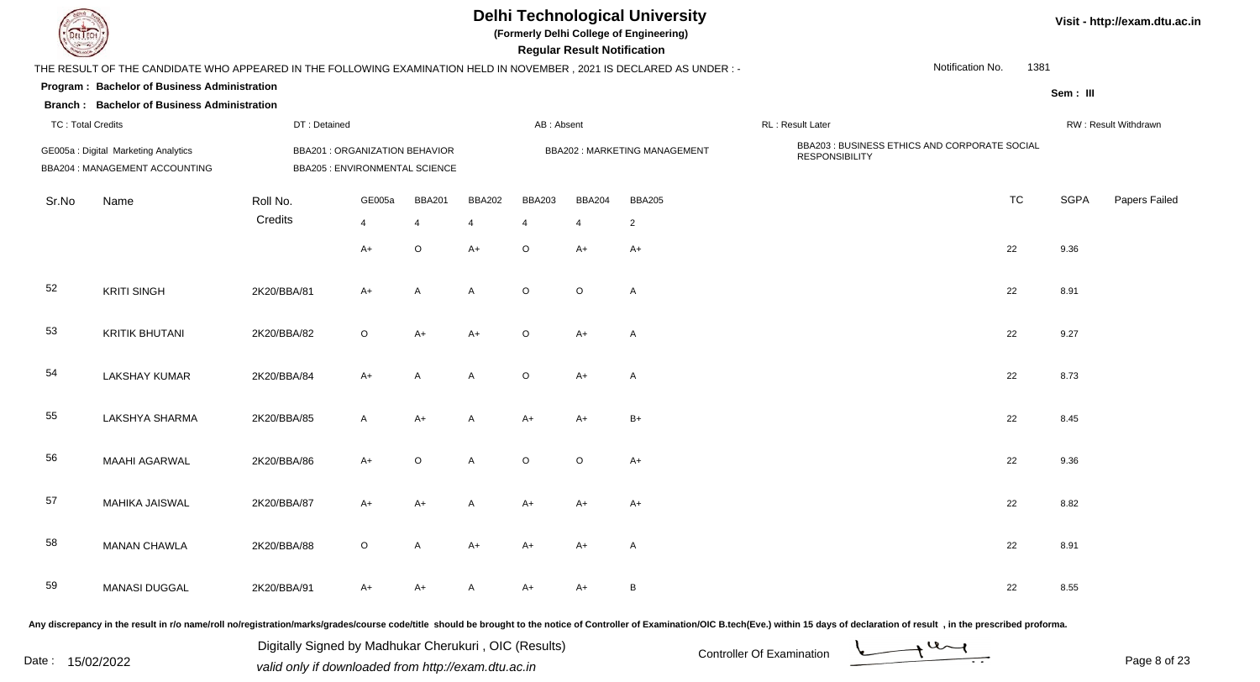| EL ECH                   |                                                                                                                      |                                                                         |         |               |                  |               | <b>Regular Result Notification</b> | <b>Delhi Technological University</b><br>(Formerly Delhi College of Engineering) |                                                                        |                  |      |             | Visit - http://exam.dtu.ac.in |
|--------------------------|----------------------------------------------------------------------------------------------------------------------|-------------------------------------------------------------------------|---------|---------------|------------------|---------------|------------------------------------|----------------------------------------------------------------------------------|------------------------------------------------------------------------|------------------|------|-------------|-------------------------------|
|                          | THE RESULT OF THE CANDIDATE WHO APPEARED IN THE FOLLOWING EXAMINATION HELD IN NOVEMBER, 2021 IS DECLARED AS UNDER :- |                                                                         |         |               |                  |               |                                    |                                                                                  |                                                                        | Notification No. | 1381 |             |                               |
|                          | Program: Bachelor of Business Administration                                                                         |                                                                         |         |               |                  |               |                                    |                                                                                  |                                                                        |                  |      | Sem: III    |                               |
|                          | <b>Branch: Bachelor of Business Administration</b>                                                                   |                                                                         |         |               |                  |               |                                    |                                                                                  |                                                                        |                  |      |             |                               |
| <b>TC: Total Credits</b> |                                                                                                                      | DT: Detained                                                            |         |               |                  | AB: Absent    |                                    |                                                                                  | RL : Result Later                                                      |                  |      |             | RW: Result Withdrawn          |
|                          | GE005a : Digital Marketing Analytics<br>BBA204 : MANAGEMENT ACCOUNTING                                               | <b>BBA201 : ORGANIZATION BEHAVIOR</b><br>BBA205 : ENVIRONMENTAL SCIENCE |         |               |                  |               |                                    | <b>BBA202: MARKETING MANAGEMENT</b>                                              | BBA203 : BUSINESS ETHICS AND CORPORATE SOCIAL<br><b>RESPONSIBILITY</b> |                  |      |             |                               |
| Sr.No                    | Name                                                                                                                 | Roll No.                                                                | GE005a  | <b>BBA201</b> | <b>BBA202</b>    | <b>BBA203</b> | <b>BBA204</b>                      | <b>BBA205</b>                                                                    |                                                                        | <b>TC</b>        |      | <b>SGPA</b> | Papers Failed                 |
|                          |                                                                                                                      | Credits                                                                 | 4       | 4             | $\boldsymbol{4}$ | 4             | $\overline{4}$                     | $\overline{2}$                                                                   |                                                                        |                  |      |             |                               |
|                          |                                                                                                                      |                                                                         | $A+$    | $\mathsf O$   | A+               | $\circ$       | A+                                 | A+                                                                               |                                                                        | 22               |      | 9.36        |                               |
| 52                       | <b>KRITI SINGH</b>                                                                                                   | 2K20/BBA/81                                                             | $A+$    | A             | A                | $\circ$       | $\circ$                            | A                                                                                |                                                                        | 22               |      | 8.91        |                               |
| 53                       | <b>KRITIK BHUTANI</b>                                                                                                | 2K20/BBA/82                                                             | $\circ$ | $A+$          | $A+$             | $\circ$       | A+                                 | A                                                                                |                                                                        | 22               |      | 9.27        |                               |
| 54                       | <b>LAKSHAY KUMAR</b>                                                                                                 | 2K20/BBA/84                                                             | $A+$    | A             | A                | $\circ$       | A+                                 | $\mathsf{A}$                                                                     |                                                                        | 22               |      | 8.73        |                               |
| 55                       | LAKSHYA SHARMA                                                                                                       | 2K20/BBA/85                                                             | A       | $A+$          | A                | $A+$          | $A+$                               | $B+$                                                                             |                                                                        | 22               |      | 8.45        |                               |
| 56                       | <b>MAAHI AGARWAL</b>                                                                                                 | 2K20/BBA/86                                                             | $A+$    | $\circ$       | A                | $\circ$       | $\circ$                            | $A+$                                                                             |                                                                        | 22               |      | 9.36        |                               |
| 57                       | <b>MAHIKA JAISWAL</b>                                                                                                | 2K20/BBA/87                                                             | A+      | A+            |                  | A+            |                                    | A+                                                                               |                                                                        | 22               |      | 8.82        |                               |
| 58                       | <b>MANAN CHAWLA</b>                                                                                                  | 2K20/BBA/88                                                             | $\circ$ | A             | $A+$             | $A+$          | A+                                 | A                                                                                |                                                                        | 22               |      | 8.91        |                               |
| 59                       | <b>MANASI DUGGAL</b>                                                                                                 | 2K20/BBA/91                                                             | A+      | A+            | A                | $A+$          | $A+$                               | $\, {\bf B}$                                                                     |                                                                        | 22               |      | 8.55        |                               |
|                          |                                                                                                                      |                                                                         |         |               |                  |               |                                    |                                                                                  |                                                                        |                  |      |             |                               |

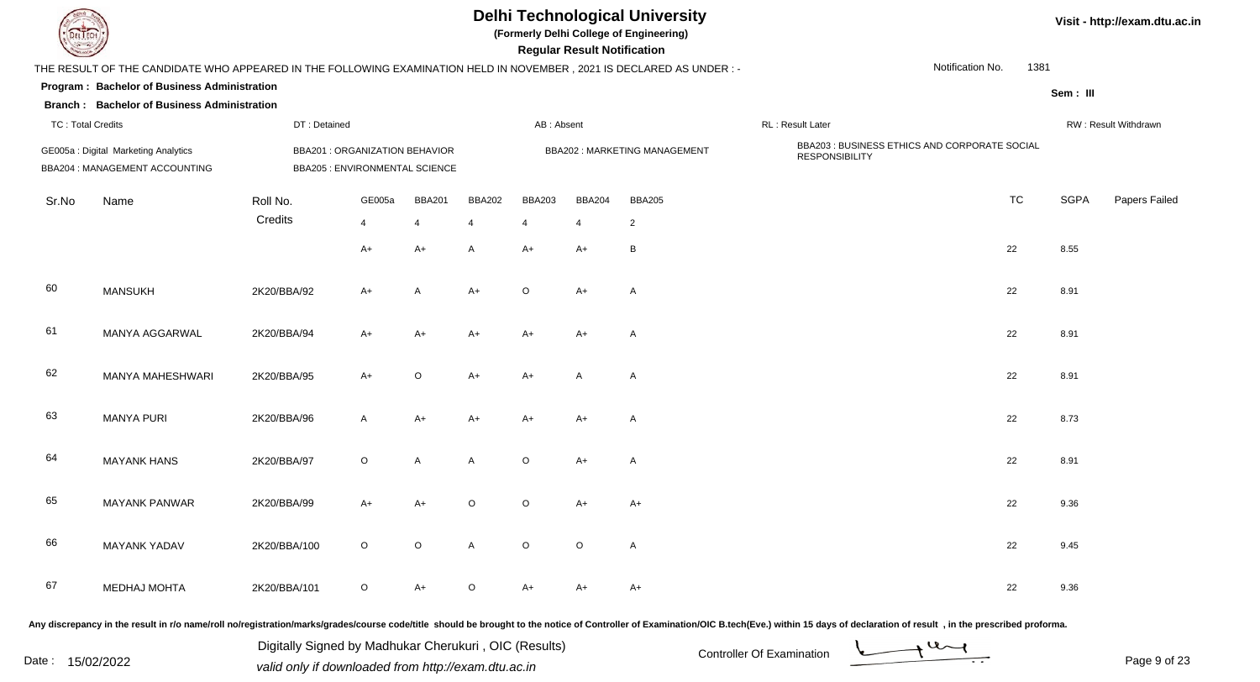| EL ECH                   |                                                                                                                      |                                                                  |         |               |               |               | <b>Regular Result Notification</b> | <b>Delhi Technological University</b><br>(Formerly Delhi College of Engineering) |                                                                        |                  |           |             | Visit - http://exam.dtu.ac.in |
|--------------------------|----------------------------------------------------------------------------------------------------------------------|------------------------------------------------------------------|---------|---------------|---------------|---------------|------------------------------------|----------------------------------------------------------------------------------|------------------------------------------------------------------------|------------------|-----------|-------------|-------------------------------|
|                          | THE RESULT OF THE CANDIDATE WHO APPEARED IN THE FOLLOWING EXAMINATION HELD IN NOVEMBER, 2021 IS DECLARED AS UNDER :- |                                                                  |         |               |               |               |                                    |                                                                                  |                                                                        | Notification No. | 1381      |             |                               |
|                          | Program: Bachelor of Business Administration                                                                         |                                                                  |         |               |               |               |                                    |                                                                                  |                                                                        |                  |           | Sem: III    |                               |
|                          | <b>Branch: Bachelor of Business Administration</b>                                                                   |                                                                  |         |               |               |               |                                    |                                                                                  |                                                                        |                  |           |             |                               |
| <b>TC: Total Credits</b> |                                                                                                                      | DT: Detained                                                     |         |               |               | AB: Absent    |                                    |                                                                                  | RL : Result Later                                                      |                  |           |             | RW: Result Withdrawn          |
|                          | GE005a : Digital Marketing Analytics<br>BBA204 : MANAGEMENT ACCOUNTING                                               | BBA201 : ORGANIZATION BEHAVIOR<br>BBA205 : ENVIRONMENTAL SCIENCE |         |               |               |               |                                    | <b>BBA202: MARKETING MANAGEMENT</b>                                              | BBA203 : BUSINESS ETHICS AND CORPORATE SOCIAL<br><b>RESPONSIBILITY</b> |                  |           |             |                               |
| Sr.No                    | Name                                                                                                                 | Roll No.                                                         | GE005a  | <b>BBA201</b> | <b>BBA202</b> | <b>BBA203</b> | <b>BBA204</b>                      | <b>BBA205</b>                                                                    |                                                                        |                  | <b>TC</b> | <b>SGPA</b> | Papers Failed                 |
|                          |                                                                                                                      | Credits                                                          | 4       | 4             | 4             | 4             | $\overline{4}$                     | $\overline{2}$                                                                   |                                                                        |                  |           |             |                               |
|                          |                                                                                                                      |                                                                  | $A+$    | $A+$          | A             | $A+$          | A+                                 | В                                                                                |                                                                        | 22               |           | 8.55        |                               |
| 60                       | <b>MANSUKH</b>                                                                                                       | 2K20/BBA/92                                                      | A+      | A             | A+            | $\Omega$      | A+                                 | A                                                                                |                                                                        | 22               |           | 8.91        |                               |
| 61                       | <b>MANYA AGGARWAL</b>                                                                                                | 2K20/BBA/94                                                      | A+      | $A+$          | $A+$          | $A+$          | $A+$                               | A                                                                                |                                                                        | 22               |           | 8.91        |                               |
| 62                       | MANYA MAHESHWARI                                                                                                     | 2K20/BBA/95                                                      | $A+$    | $\circ$       | $A+$          | $A+$          | $\mathsf{A}$                       | $\mathsf{A}$                                                                     |                                                                        | 22               |           | 8.91        |                               |
| 63                       | <b>MANYA PURI</b>                                                                                                    | 2K20/BBA/96                                                      | A       | $A+$          | A+            | $A+$          | A+                                 | A                                                                                |                                                                        | 22               |           | 8.73        |                               |
| 64                       | <b>MAYANK HANS</b>                                                                                                   | 2K20/BBA/97                                                      | $\circ$ | A             | A             | $\circ$       | A+                                 | A                                                                                |                                                                        | 22               |           | 8.91        |                               |
| 65                       | <b>MAYANK PANWAR</b>                                                                                                 | 2K20/BBA/99                                                      | A+      | A+            | $\Omega$      | ∩             | A+                                 | A+                                                                               |                                                                        | 22               |           | 9.36        |                               |
| 66                       | <b>MAYANK YADAV</b>                                                                                                  | 2K20/BBA/100                                                     | $\circ$ | $\mathsf O$   | $\mathsf{A}$  | $\circ$       | $\circ$                            | $\mathsf{A}$                                                                     |                                                                        | 22               |           | 9.45        |                               |
| 67                       | <b>MEDHAJ MOHTA</b>                                                                                                  | 2K20/BBA/101                                                     | $\circ$ | $A+$          | $\circ$       | $A+$          | A+                                 | $A+$                                                                             |                                                                        | 22               |           | 9.36        |                               |

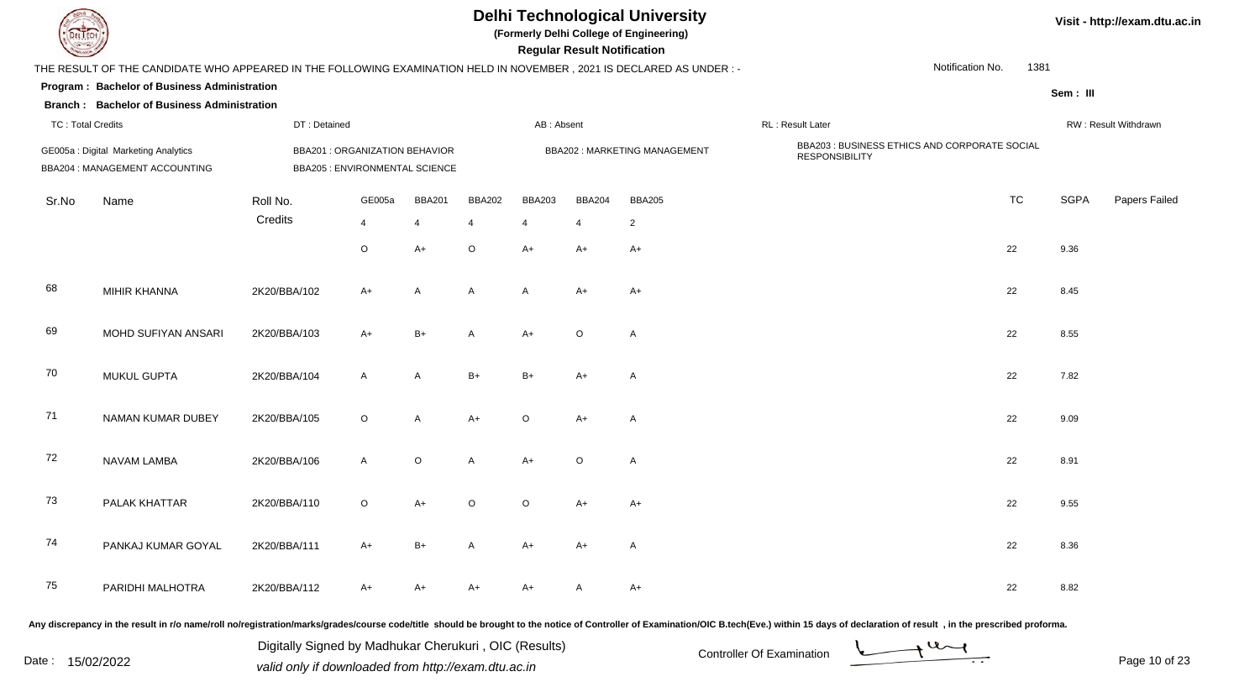| EL ECH                   |                                                                                                                      |                                                                         |              |               |               |               | <b>Regular Result Notification</b> | <b>Delhi Technological University</b><br>(Formerly Delhi College of Engineering) |                                                                        |                  |      |             | Visit - http://exam.dtu.ac.in |
|--------------------------|----------------------------------------------------------------------------------------------------------------------|-------------------------------------------------------------------------|--------------|---------------|---------------|---------------|------------------------------------|----------------------------------------------------------------------------------|------------------------------------------------------------------------|------------------|------|-------------|-------------------------------|
|                          | THE RESULT OF THE CANDIDATE WHO APPEARED IN THE FOLLOWING EXAMINATION HELD IN NOVEMBER, 2021 IS DECLARED AS UNDER :- |                                                                         |              |               |               |               |                                    |                                                                                  |                                                                        | Notification No. | 1381 |             |                               |
|                          | Program: Bachelor of Business Administration                                                                         |                                                                         |              |               |               |               |                                    |                                                                                  |                                                                        |                  |      | Sem: III    |                               |
|                          | <b>Branch: Bachelor of Business Administration</b>                                                                   |                                                                         |              |               |               |               |                                    |                                                                                  |                                                                        |                  |      |             |                               |
| <b>TC: Total Credits</b> |                                                                                                                      | DT: Detained                                                            |              |               |               | AB: Absent    |                                    |                                                                                  | RL : Result Later                                                      |                  |      |             | RW: Result Withdrawn          |
|                          | GE005a : Digital Marketing Analytics<br>BBA204 : MANAGEMENT ACCOUNTING                                               | <b>BBA201 : ORGANIZATION BEHAVIOR</b><br>BBA205 : ENVIRONMENTAL SCIENCE |              |               |               |               |                                    | <b>BBA202: MARKETING MANAGEMENT</b>                                              | BBA203 : BUSINESS ETHICS AND CORPORATE SOCIAL<br><b>RESPONSIBILITY</b> |                  |      |             |                               |
| Sr.No                    | Name                                                                                                                 | Roll No.                                                                | GE005a       | <b>BBA201</b> | <b>BBA202</b> | <b>BBA203</b> | <b>BBA204</b>                      | <b>BBA205</b>                                                                    |                                                                        | <b>TC</b>        |      | <b>SGPA</b> | Papers Failed                 |
|                          |                                                                                                                      | Credits                                                                 | 4            | 4             | 4             | 4             | $\overline{4}$                     | $\overline{2}$                                                                   |                                                                        |                  |      |             |                               |
|                          |                                                                                                                      |                                                                         | O            | A+            | $\circ$       | $A+$          | A+                                 | A+                                                                               |                                                                        | 22               |      | 9.36        |                               |
| 68                       | MIHIR KHANNA                                                                                                         | 2K20/BBA/102                                                            | A+           | Α             | A             | $\mathsf{A}$  | A+                                 | A+                                                                               |                                                                        | 22               |      | 8.45        |                               |
| 69                       | MOHD SUFIYAN ANSARI                                                                                                  | 2K20/BBA/103                                                            | $A+$         | $B+$          | A             | $A+$          | $\circ$                            | $\mathsf{A}$                                                                     |                                                                        | 22               |      | 8.55        |                               |
| 70                       | <b>MUKUL GUPTA</b>                                                                                                   | 2K20/BBA/104                                                            | $\mathsf{A}$ | A             | $B+$          | $B+$          | A+                                 | A                                                                                |                                                                        | 22               |      | 7.82        |                               |
| 71                       | NAMAN KUMAR DUBEY                                                                                                    | 2K20/BBA/105                                                            | $\circ$      | A             | $A+$          | $\circ$       | $A+$                               | A                                                                                |                                                                        | 22               |      | 9.09        |                               |
| 72                       | NAVAM LAMBA                                                                                                          | 2K20/BBA/106                                                            | $\mathsf{A}$ | $\circ$       | A             | $A+$          | $\circ$                            | A                                                                                |                                                                        | 22               |      | 8.91        |                               |
| 73                       | PALAK KHATTAR                                                                                                        | 2K20/BBA/110                                                            | $\circ$      | A+            | $\Omega$      | $\Omega$      | A+                                 | A+                                                                               |                                                                        | 22               |      | 9.55        |                               |
| 74                       | PANKAJ KUMAR GOYAL                                                                                                   | 2K20/BBA/111                                                            | A+           | $B+$          | A             | $A+$          | A+                                 | A                                                                                |                                                                        | 22               |      | 8.36        |                               |
| 75                       | PARIDHI MALHOTRA                                                                                                     | 2K20/BBA/112                                                            | A+           | A+            | A+            | A+            | A                                  | A+                                                                               |                                                                        | 22               |      | 8.82        |                               |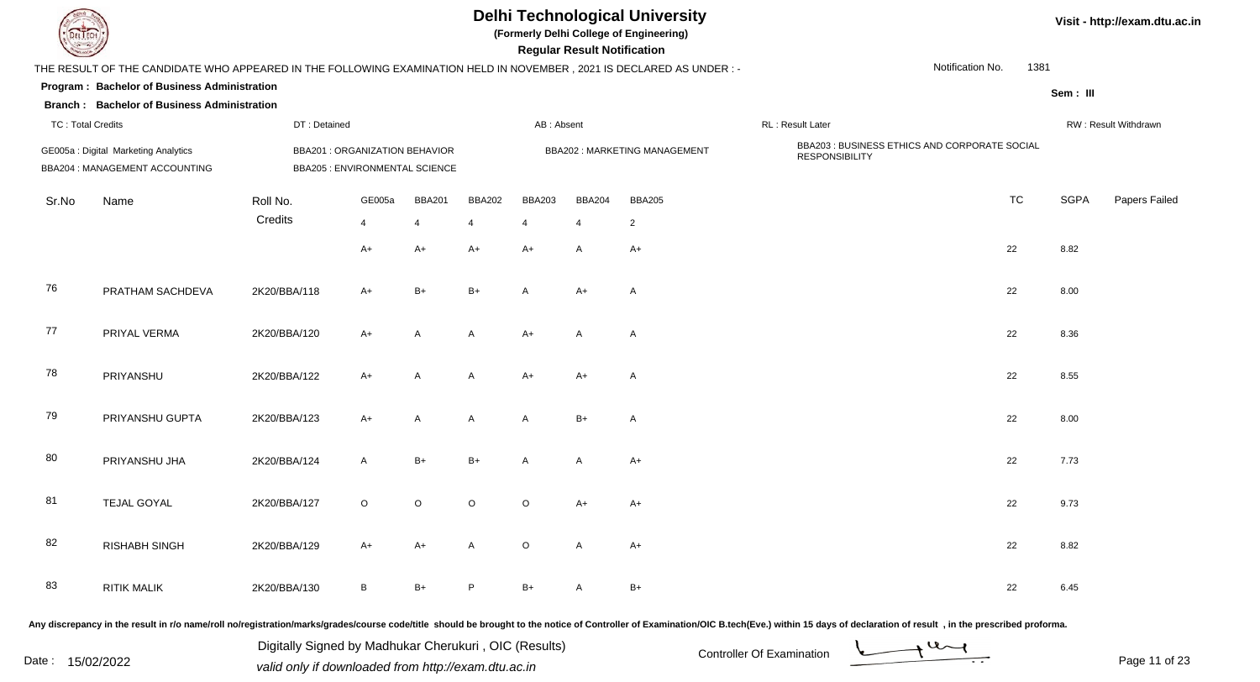| EL ECH                   |                                                                                                                      |                                                                         |         |                |               |               | <b>Regular Result Notification</b> | <b>Delhi Technological University</b><br>(Formerly Delhi College of Engineering) |                                                                        |                  |      |             | Visit - http://exam.dtu.ac.in |
|--------------------------|----------------------------------------------------------------------------------------------------------------------|-------------------------------------------------------------------------|---------|----------------|---------------|---------------|------------------------------------|----------------------------------------------------------------------------------|------------------------------------------------------------------------|------------------|------|-------------|-------------------------------|
|                          | THE RESULT OF THE CANDIDATE WHO APPEARED IN THE FOLLOWING EXAMINATION HELD IN NOVEMBER, 2021 IS DECLARED AS UNDER :- |                                                                         |         |                |               |               |                                    |                                                                                  |                                                                        | Notification No. | 1381 |             |                               |
|                          | Program: Bachelor of Business Administration<br><b>Branch: Bachelor of Business Administration</b>                   |                                                                         |         |                |               |               |                                    |                                                                                  |                                                                        |                  |      | Sem: III    |                               |
| <b>TC: Total Credits</b> |                                                                                                                      | DT: Detained                                                            |         |                |               | AB: Absent    |                                    |                                                                                  | RL : Result Later                                                      |                  |      |             | RW: Result Withdrawn          |
|                          | GE005a: Digital Marketing Analytics<br>BBA204 : MANAGEMENT ACCOUNTING                                                | <b>BBA201 : ORGANIZATION BEHAVIOR</b><br>BBA205 : ENVIRONMENTAL SCIENCE |         |                |               |               |                                    | <b>BBA202: MARKETING MANAGEMENT</b>                                              | BBA203 : BUSINESS ETHICS AND CORPORATE SOCIAL<br><b>RESPONSIBILITY</b> |                  |      |             |                               |
| Sr.No                    | Name                                                                                                                 | Roll No.                                                                | GE005a  | <b>BBA201</b>  | <b>BBA202</b> | <b>BBA203</b> | <b>BBA204</b>                      | <b>BBA205</b>                                                                    |                                                                        | <b>TC</b>        |      | <b>SGPA</b> | Papers Failed                 |
|                          |                                                                                                                      | Credits                                                                 | 4       | $\overline{4}$ | 4             | 4             | $\overline{4}$                     | $\overline{2}$                                                                   |                                                                        |                  |      |             |                               |
|                          |                                                                                                                      |                                                                         | $A+$    | $A+$           | A+            | $A+$          | A                                  | $A+$                                                                             |                                                                        | 22               |      | 8.82        |                               |
| 76                       | PRATHAM SACHDEVA                                                                                                     | 2K20/BBA/118                                                            | A+      | $B+$           | $B+$          | $\mathsf{A}$  | A+                                 | A                                                                                |                                                                        | 22               |      | 8.00        |                               |
| 77                       | PRIYAL VERMA                                                                                                         | 2K20/BBA/120                                                            | $A+$    | A              | A             | $A+$          | $\mathsf{A}$                       | $\mathsf{A}$                                                                     |                                                                        | 22               |      | 8.36        |                               |
| 78                       | PRIYANSHU                                                                                                            | 2K20/BBA/122                                                            | $A+$    | A              | A             | $A+$          | A+                                 | A                                                                                |                                                                        | 22               |      | 8.55        |                               |
| 79                       | PRIYANSHU GUPTA                                                                                                      | 2K20/BBA/123                                                            | $A+$    | A              | A             | $\mathsf{A}$  | $B+$                               | A                                                                                |                                                                        | 22               |      | 8.00        |                               |
| 80                       | PRIYANSHU JHA                                                                                                        | 2K20/BBA/124                                                            | A       | $B+$           | $B+$          | A             | A                                  | $A+$                                                                             |                                                                        | 22               |      | 7.73        |                               |
| 81                       | <b>TEJAL GOYAL</b>                                                                                                   | 2K20/BBA/127                                                            | $\circ$ | $\circ$        | $\circ$       | $\circ$       | A+                                 | A+                                                                               |                                                                        | 22               |      | 9.73        |                               |
| 82                       | <b>RISHABH SINGH</b>                                                                                                 | 2K20/BBA/129                                                            | A+      | $A+$           | A             | $\circ$       | A                                  | $A+$                                                                             |                                                                        | 22               |      | 8.82        |                               |
| 83                       | <b>RITIK MALIK</b>                                                                                                   | 2K20/BBA/130                                                            | B       | $B+$           | P             | $B+$          | A                                  | $B+$                                                                             |                                                                        | 22               |      | 6.45        |                               |

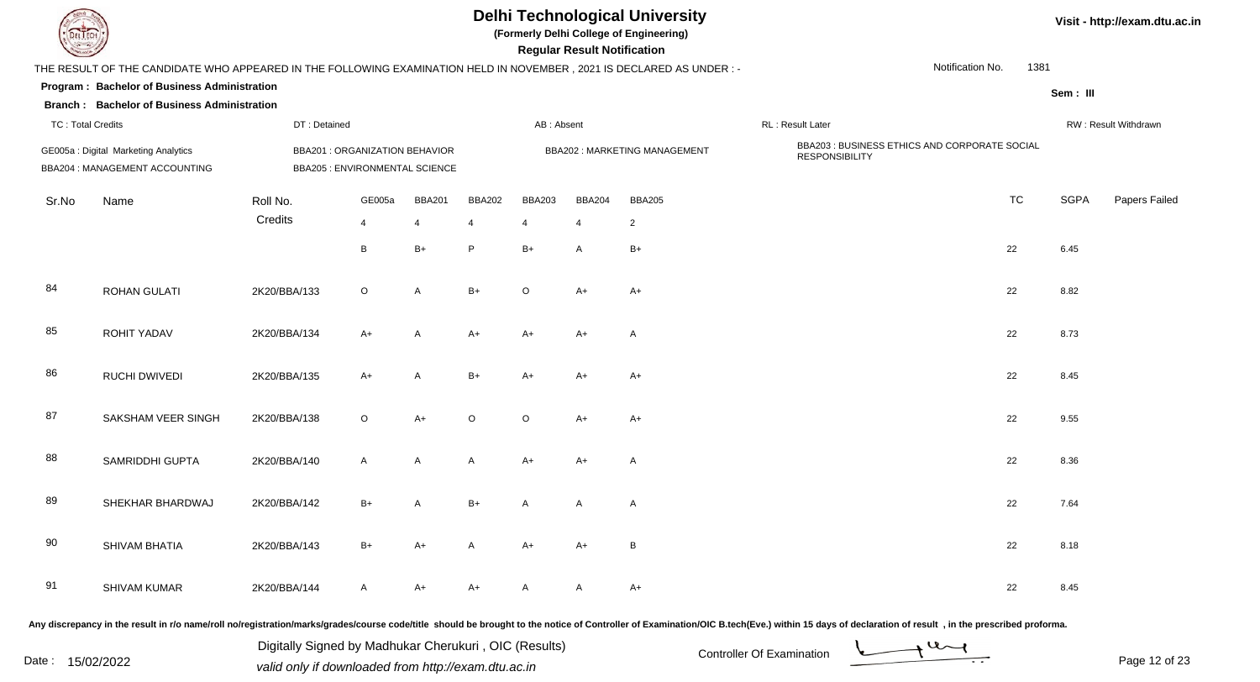| EL ECH                   |                                                                                                                      |                                                                                |         |                |               |               | <b>Regular Result Notification</b> | <b>Delhi Technological University</b><br>(Formerly Delhi College of Engineering) |                                                                        |                  |      |             | Visit - http://exam.dtu.ac.in |
|--------------------------|----------------------------------------------------------------------------------------------------------------------|--------------------------------------------------------------------------------|---------|----------------|---------------|---------------|------------------------------------|----------------------------------------------------------------------------------|------------------------------------------------------------------------|------------------|------|-------------|-------------------------------|
|                          | THE RESULT OF THE CANDIDATE WHO APPEARED IN THE FOLLOWING EXAMINATION HELD IN NOVEMBER, 2021 IS DECLARED AS UNDER :- |                                                                                |         |                |               |               |                                    |                                                                                  |                                                                        | Notification No. | 1381 |             |                               |
|                          | Program: Bachelor of Business Administration<br><b>Branch: Bachelor of Business Administration</b>                   |                                                                                |         |                |               |               |                                    |                                                                                  |                                                                        |                  |      | Sem: III    |                               |
| <b>TC: Total Credits</b> |                                                                                                                      | DT: Detained                                                                   |         |                |               | AB: Absent    |                                    |                                                                                  | RL : Result Later                                                      |                  |      |             | RW: Result Withdrawn          |
|                          | GE005a: Digital Marketing Analytics<br>BBA204 : MANAGEMENT ACCOUNTING                                                | <b>BBA201 : ORGANIZATION BEHAVIOR</b><br><b>BBA205 : ENVIRONMENTAL SCIENCE</b> |         |                |               |               |                                    | BBA202: MARKETING MANAGEMENT                                                     | BBA203 : BUSINESS ETHICS AND CORPORATE SOCIAL<br><b>RESPONSIBILITY</b> |                  |      |             |                               |
| Sr.No                    | Name                                                                                                                 | Roll No.                                                                       | GE005a  | <b>BBA201</b>  | <b>BBA202</b> | <b>BBA203</b> | <b>BBA204</b>                      | <b>BBA205</b>                                                                    |                                                                        | <b>TC</b>        |      | <b>SGPA</b> | Papers Failed                 |
|                          |                                                                                                                      | Credits                                                                        | 4       | $\overline{4}$ | 4             | 4             | $\overline{4}$                     | $\mathbf{2}$                                                                     |                                                                        |                  |      |             |                               |
|                          |                                                                                                                      |                                                                                | B       | $B+$           | P             | $B+$          | A                                  | $B+$                                                                             |                                                                        | 22               |      | 6.45        |                               |
| 84                       | <b>ROHAN GULATI</b>                                                                                                  | 2K20/BBA/133                                                                   | $\circ$ | A              | $B+$          | $\Omega$      | A+                                 | $A+$                                                                             |                                                                        | 22               |      | 8.82        |                               |
| 85                       | ROHIT YADAV                                                                                                          | 2K20/BBA/134                                                                   | $A+$    | A              | $A+$          | $A+$          | A+                                 | A                                                                                |                                                                        | 22               |      | 8.73        |                               |
| 86                       | <b>RUCHI DWIVEDI</b>                                                                                                 | 2K20/BBA/135                                                                   | $A+$    | A              | $B+$          | $A+$          | A+                                 | A+                                                                               |                                                                        | 22               |      | 8.45        |                               |
| 87                       | SAKSHAM VEER SINGH                                                                                                   | 2K20/BBA/138                                                                   | $\circ$ | $A+$           | $\circ$       | $\circ$       | A+                                 | A+                                                                               |                                                                        | 22               |      | 9.55        |                               |
| 88                       | SAMRIDDHI GUPTA                                                                                                      | 2K20/BBA/140                                                                   | A       | A              | A             | $A+$          | A+                                 | A                                                                                |                                                                        | 22               |      | 8.36        |                               |
| 89                       | SHEKHAR BHARDWAJ                                                                                                     | 2K20/BBA/142                                                                   | B+      | А              | $B+$          |               | A                                  | A                                                                                |                                                                        | 22               |      | 7.64        |                               |
| 90                       | SHIVAM BHATIA                                                                                                        | 2K20/BBA/143                                                                   | B+      | $A+$           | A             | $A+$          | $A+$                               | $\, {\bf B} \,$                                                                  |                                                                        | 22               |      | 8.18        |                               |
| 91                       | SHIVAM KUMAR                                                                                                         | 2K20/BBA/144                                                                   | A       | $A+$           | $A+$          | A             | $\mathsf{A}$                       | $A+$                                                                             |                                                                        | 22               |      | 8.45        |                               |

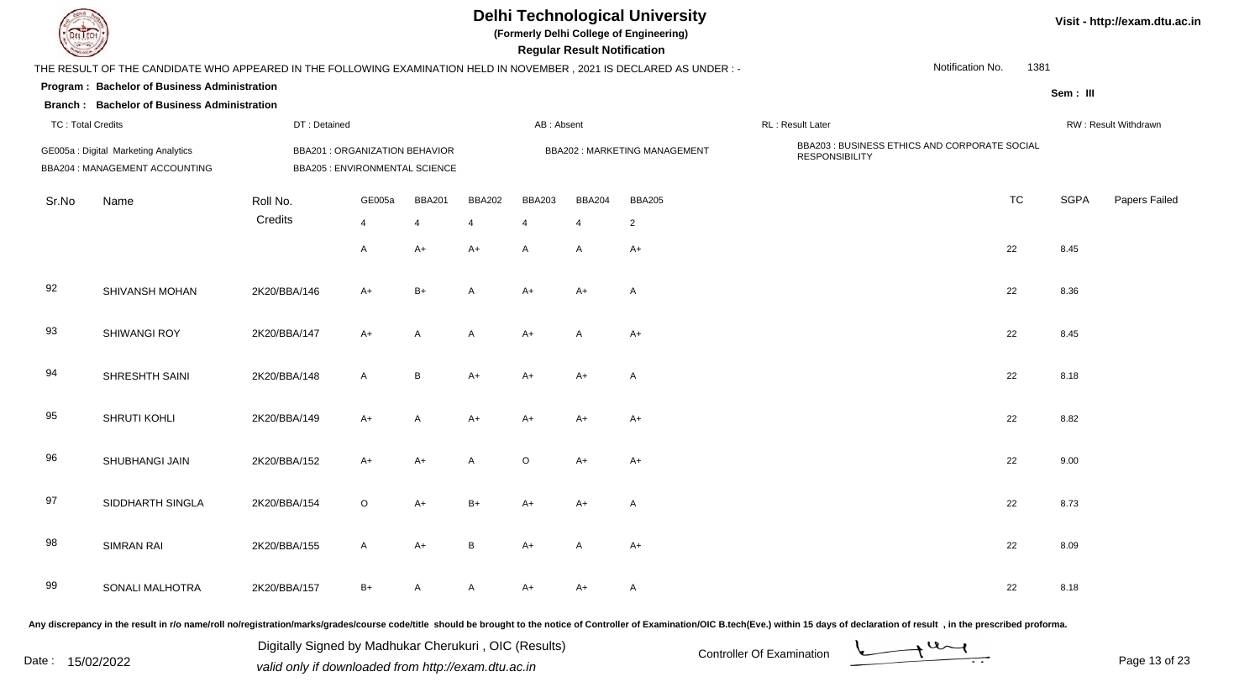| EL ECH                   |                                                                                                                      |              |                                                                         |               |               |               | <b>Regular Result Notification</b> | <b>Delhi Technological University</b><br>(Formerly Delhi College of Engineering) |                                                                        |                  |      |             | Visit - http://exam.dtu.ac.in |
|--------------------------|----------------------------------------------------------------------------------------------------------------------|--------------|-------------------------------------------------------------------------|---------------|---------------|---------------|------------------------------------|----------------------------------------------------------------------------------|------------------------------------------------------------------------|------------------|------|-------------|-------------------------------|
|                          | THE RESULT OF THE CANDIDATE WHO APPEARED IN THE FOLLOWING EXAMINATION HELD IN NOVEMBER, 2021 IS DECLARED AS UNDER :- |              |                                                                         |               |               |               |                                    |                                                                                  |                                                                        | Notification No. | 1381 |             |                               |
|                          | Program: Bachelor of Business Administration<br><b>Branch: Bachelor of Business Administration</b>                   |              |                                                                         |               |               |               |                                    |                                                                                  |                                                                        |                  |      | Sem: III    |                               |
| <b>TC: Total Credits</b> |                                                                                                                      | DT: Detained |                                                                         |               |               | AB: Absent    |                                    |                                                                                  | RL : Result Later                                                      |                  |      |             | RW: Result Withdrawn          |
|                          | GE005a : Digital Marketing Analytics<br>BBA204 : MANAGEMENT ACCOUNTING                                               |              | <b>BBA201 : ORGANIZATION BEHAVIOR</b><br>BBA205 : ENVIRONMENTAL SCIENCE |               |               |               |                                    | <b>BBA202: MARKETING MANAGEMENT</b>                                              | BBA203 : BUSINESS ETHICS AND CORPORATE SOCIAL<br><b>RESPONSIBILITY</b> |                  |      |             |                               |
| Sr.No                    | Name                                                                                                                 | Roll No.     | GE005a                                                                  | <b>BBA201</b> | <b>BBA202</b> | <b>BBA203</b> | <b>BBA204</b>                      | <b>BBA205</b>                                                                    |                                                                        | <b>TC</b>        |      | <b>SGPA</b> | Papers Failed                 |
|                          |                                                                                                                      | Credits      | 4                                                                       | 4             | 4             | 4             | $\overline{4}$                     | $\overline{2}$                                                                   |                                                                        |                  |      |             |                               |
|                          |                                                                                                                      |              | A                                                                       | $A+$          | A+            | $\mathsf{A}$  | A                                  | A+                                                                               |                                                                        | 22               |      | 8.45        |                               |
| 92                       | SHIVANSH MOHAN                                                                                                       | 2K20/BBA/146 | A+                                                                      | $B+$          | A             | $A+$          | $A+$                               | A                                                                                |                                                                        | 22               |      | 8.36        |                               |
| 93                       | <b>SHIWANGI ROY</b>                                                                                                  | 2K20/BBA/147 | $A+$                                                                    | A             | A             | $A+$          | A                                  | A+                                                                               |                                                                        | 22               |      | 8.45        |                               |
| 94                       | SHRESHTH SAINI                                                                                                       | 2K20/BBA/148 | $\mathsf{A}$                                                            | B             | $A+$          | $A+$          | A+                                 | A                                                                                |                                                                        | 22               |      | 8.18        |                               |
| 95                       | SHRUTI KOHLI                                                                                                         | 2K20/BBA/149 | $A+$                                                                    | A             | $A+$          | $A+$          | A+                                 | A+                                                                               |                                                                        | 22               |      | 8.82        |                               |
| 96                       | SHUBHANGI JAIN                                                                                                       | 2K20/BBA/152 | $A+$                                                                    | $A+$          | A             | $\circ$       | A+                                 | A+                                                                               |                                                                        | 22               |      | 9.00        |                               |
| 97                       | SIDDHARTH SINGLA                                                                                                     | 2K20/BBA/154 | O                                                                       | A+            | B+            | A+            | $A+$                               | A                                                                                |                                                                        | 22               |      | 8.73        |                               |
| 98                       | SIMRAN RAI                                                                                                           | 2K20/BBA/155 | $\mathsf{A}$                                                            | $A+$          | B             | $A+$          | A                                  | $A+$                                                                             |                                                                        | 22               |      | 8.09        |                               |
| 99                       | SONALI MALHOTRA                                                                                                      | 2K20/BBA/157 | B+                                                                      | A             | A             | $A+$          | A+                                 | A                                                                                |                                                                        | 22               |      | 8.18        |                               |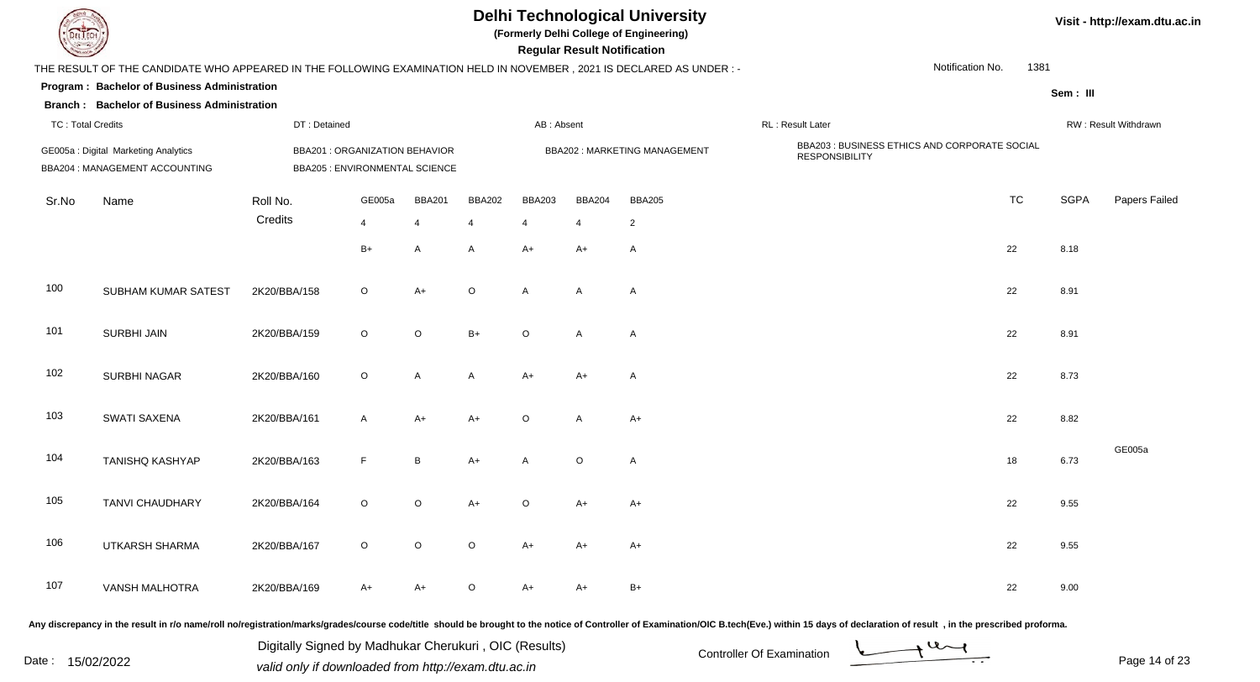|                          |                                                                                                                      |                                                                         |         |               |               |                | <b>Regular Result Notification</b> | <b>Delhi Technological University</b><br>(Formerly Delhi College of Engineering) |                                                                        |                  |      |             | Visit - http://exam.dtu.ac.in |
|--------------------------|----------------------------------------------------------------------------------------------------------------------|-------------------------------------------------------------------------|---------|---------------|---------------|----------------|------------------------------------|----------------------------------------------------------------------------------|------------------------------------------------------------------------|------------------|------|-------------|-------------------------------|
|                          | THE RESULT OF THE CANDIDATE WHO APPEARED IN THE FOLLOWING EXAMINATION HELD IN NOVEMBER, 2021 IS DECLARED AS UNDER :- |                                                                         |         |               |               |                |                                    |                                                                                  |                                                                        | Notification No. | 1381 |             |                               |
|                          | Program: Bachelor of Business Administration<br><b>Branch: Bachelor of Business Administration</b>                   |                                                                         |         |               |               |                |                                    |                                                                                  |                                                                        |                  |      | Sem: III    |                               |
| <b>TC: Total Credits</b> |                                                                                                                      | DT: Detained                                                            |         |               |               | AB: Absent     |                                    |                                                                                  | RL: Result Later                                                       |                  |      |             | RW: Result Withdrawn          |
|                          | GE005a: Digital Marketing Analytics<br>BBA204 : MANAGEMENT ACCOUNTING                                                | BBA201 : ORGANIZATION BEHAVIOR<br><b>BBA205 : ENVIRONMENTAL SCIENCE</b> |         |               |               |                |                                    | <b>BBA202: MARKETING MANAGEMENT</b>                                              | BBA203 : BUSINESS ETHICS AND CORPORATE SOCIAL<br><b>RESPONSIBILITY</b> |                  |      |             |                               |
| Sr.No                    | Name                                                                                                                 | Roll No.                                                                | GE005a  | <b>BBA201</b> | <b>BBA202</b> | <b>BBA203</b>  | <b>BBA204</b>                      | <b>BBA205</b>                                                                    |                                                                        | <b>TC</b>        |      | <b>SGPA</b> | Papers Failed                 |
|                          |                                                                                                                      | Credits                                                                 | 4       | 4             | 4             | $\overline{4}$ | $\overline{4}$                     | $\overline{c}$                                                                   |                                                                        |                  |      |             |                               |
|                          |                                                                                                                      |                                                                         | $B+$    | A             | A             | $A+$           | A+                                 | $\overline{A}$                                                                   |                                                                        | 22               |      | 8.18        |                               |
| 100                      | SUBHAM KUMAR SATEST                                                                                                  | 2K20/BBA/158                                                            | $\circ$ | $A+$          | $\circ$       | A              | A                                  | $\overline{A}$                                                                   |                                                                        | 22               |      | 8.91        |                               |
| 101                      | <b>SURBHI JAIN</b>                                                                                                   | 2K20/BBA/159                                                            | $\circ$ | $\circ$       | $B+$          | $\circ$        | A                                  | $\overline{A}$                                                                   |                                                                        | 22               |      | 8.91        |                               |
| 102                      | <b>SURBHI NAGAR</b>                                                                                                  | 2K20/BBA/160                                                            | $\circ$ | $\mathsf{A}$  | A             | $A+$           | A+                                 | $\overline{A}$                                                                   |                                                                        | 22               |      | 8.73        |                               |
| 103                      | SWATI SAXENA                                                                                                         | 2K20/BBA/161                                                            | A       | $A+$          | $A+$          | $\circ$        | A                                  | $A+$                                                                             |                                                                        | 22               |      | 8.82        |                               |
| 104                      | <b>TANISHQ KASHYAP</b>                                                                                               | 2K20/BBA/163                                                            | F       | $\, {\sf B}$  | $A+$          | A              | $\circ$                            | $\overline{A}$                                                                   |                                                                        | 18               |      | 6.73        | GE005a                        |
| 105                      | TANVI CHAUDHARY                                                                                                      | 2K20/BBA/164                                                            | O       | $\circ$       | $A+$          | $\circ$        | A+                                 | A+                                                                               |                                                                        | 22               |      | 9.55        |                               |
| 106                      | UTKARSH SHARMA                                                                                                       | 2K20/BBA/167                                                            | $\circ$ | $\circ$       | $\circ$       | A+             | A+                                 | $A+$                                                                             |                                                                        | 22               |      | 9.55        |                               |
| 107                      | <b>VANSH MALHOTRA</b>                                                                                                | 2K20/BBA/169                                                            | A+      | $A+$          | $\circ$       | A+             | A+                                 | $B+$                                                                             |                                                                        | 22               |      | 9.00        |                               |
|                          |                                                                                                                      |                                                                         |         |               |               |                |                                    |                                                                                  |                                                                        |                  |      |             |                               |

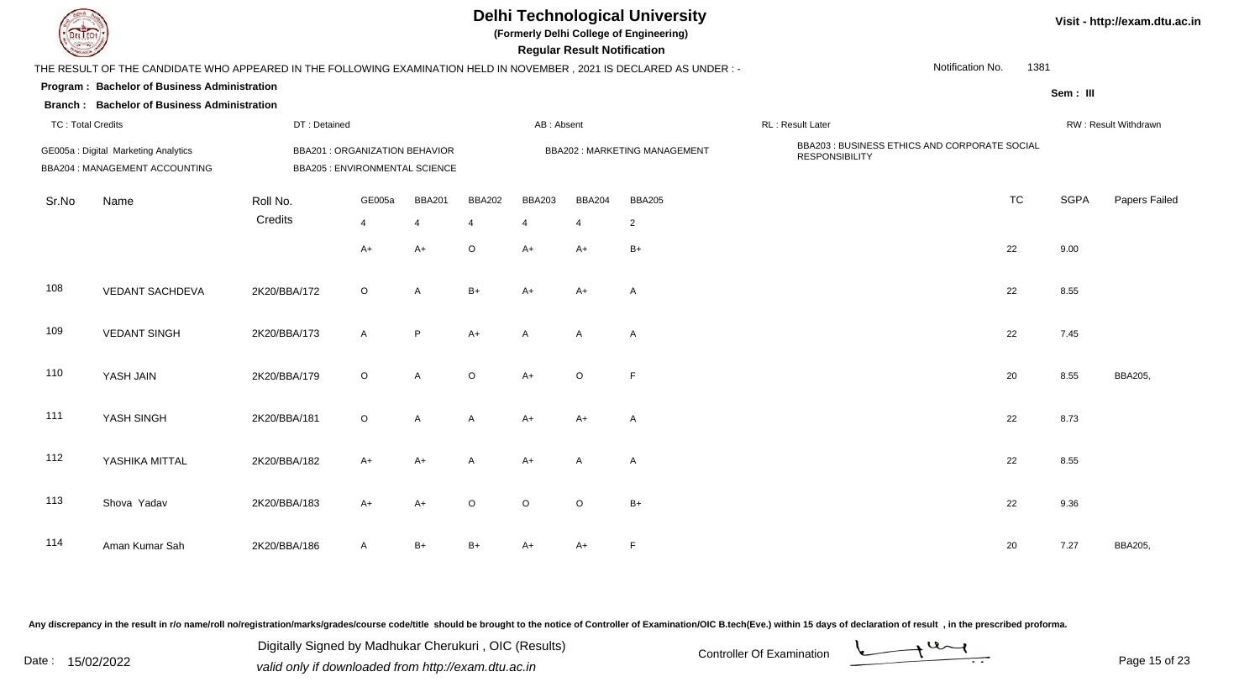| EL ECH                   |                                                                                                                      |              |                                                                         |                |               |               | <b>Regular Result Notification</b> | <b>Delhi Technological University</b><br>(Formerly Delhi College of Engineering) |                                                                        |                  |          | Visit - http://exam.dtu.ac.in |
|--------------------------|----------------------------------------------------------------------------------------------------------------------|--------------|-------------------------------------------------------------------------|----------------|---------------|---------------|------------------------------------|----------------------------------------------------------------------------------|------------------------------------------------------------------------|------------------|----------|-------------------------------|
|                          | THE RESULT OF THE CANDIDATE WHO APPEARED IN THE FOLLOWING EXAMINATION HELD IN NOVEMBER, 2021 IS DECLARED AS UNDER :- |              |                                                                         |                |               |               |                                    |                                                                                  |                                                                        | Notification No. | 1381     |                               |
|                          | Program: Bachelor of Business Administration                                                                         |              |                                                                         |                |               |               |                                    |                                                                                  |                                                                        |                  | Sem: III |                               |
|                          | <b>Branch: Bachelor of Business Administration</b>                                                                   |              |                                                                         |                |               |               |                                    |                                                                                  |                                                                        |                  |          |                               |
| <b>TC: Total Credits</b> |                                                                                                                      | DT: Detained |                                                                         |                |               | AB: Absent    |                                    |                                                                                  | RL: Result Later                                                       |                  |          | RW: Result Withdrawn          |
|                          | GE005a: Digital Marketing Analytics<br>BBA204 : MANAGEMENT ACCOUNTING                                                |              | BBA201 : ORGANIZATION BEHAVIOR<br><b>BBA205 : ENVIRONMENTAL SCIENCE</b> |                |               |               |                                    | <b>BBA202: MARKETING MANAGEMENT</b>                                              | BBA203 : BUSINESS ETHICS AND CORPORATE SOCIAL<br><b>RESPONSIBILITY</b> |                  |          |                               |
| Sr.No                    | Name                                                                                                                 | Roll No.     | GE005a                                                                  | <b>BBA201</b>  | <b>BBA202</b> | <b>BBA203</b> | <b>BBA204</b>                      | <b>BBA205</b>                                                                    |                                                                        | <b>TC</b>        | SGPA     | Papers Failed                 |
|                          |                                                                                                                      | Credits      | 4                                                                       | $\overline{4}$ |               |               | $\overline{4}$                     | $\mathbf{2}$                                                                     |                                                                        |                  |          |                               |
|                          |                                                                                                                      |              | $A+$                                                                    | $A+$           | $\circ$       | $A+$          | A+                                 | $B+$                                                                             |                                                                        | 22               | 9.00     |                               |
| 108                      | <b>VEDANT SACHDEVA</b>                                                                                               | 2K20/BBA/172 | $\circ$                                                                 | A              | $B+$          | $A+$          | $A+$                               | A                                                                                |                                                                        | 22               | 8.55     |                               |
| 109                      | <b>VEDANT SINGH</b>                                                                                                  | 2K20/BBA/173 | $\mathsf{A}$                                                            | P              | $A+$          | $\mathsf{A}$  | A                                  | A                                                                                |                                                                        | 22               | 7.45     |                               |
| 110                      | YASH JAIN                                                                                                            | 2K20/BBA/179 | $\circ$                                                                 | A              | $\circ$       | $A+$          | $\circ$                            | $\mathsf F$                                                                      |                                                                        | 20               | 8.55     | <b>BBA205,</b>                |
| 111                      | YASH SINGH                                                                                                           | 2K20/BBA/181 | $\circ$                                                                 | A              | A             | $A+$          | A+                                 | $\mathsf{A}$                                                                     |                                                                        | 22               | 8.73     |                               |
| 112                      | YASHIKA MITTAL                                                                                                       | 2K20/BBA/182 | A+                                                                      | $A+$           | $\mathsf{A}$  | $A+$          | A                                  | A                                                                                |                                                                        | 22               | 8.55     |                               |
| 113                      | Shova Yadav                                                                                                          | 2K20/BBA/183 | $A+$                                                                    | $A+$           | $\circ$       | $\circ$       | $\circ$                            | $B+$                                                                             |                                                                        | 22               | 9.36     |                               |
| 114                      | Aman Kumar Sah                                                                                                       | 2K20/BBA/186 | A                                                                       | B+             | B+            | $A+$          | A+                                 | $\mathsf F$                                                                      |                                                                        | 20               | 7.27     | <b>BBA205,</b>                |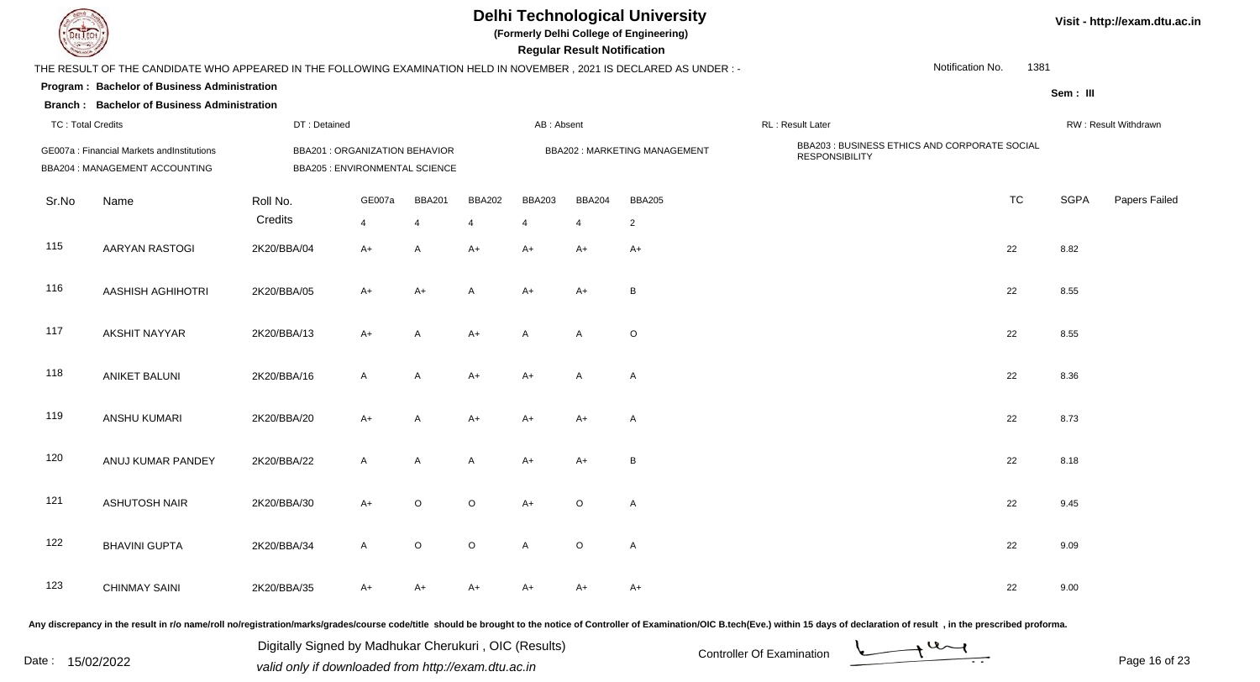## **Delhi Technological University**

**(Formerly Delhi College of Engineering)**

 **Regular Result Notification**

| <b>Consumers of Consumers</b> |                                                                                                                      |                     |                                                                  |               |               |                      | <b>Regular Result Notification</b> |                              |                                                                        |           |             |                      |
|-------------------------------|----------------------------------------------------------------------------------------------------------------------|---------------------|------------------------------------------------------------------|---------------|---------------|----------------------|------------------------------------|------------------------------|------------------------------------------------------------------------|-----------|-------------|----------------------|
|                               | THE RESULT OF THE CANDIDATE WHO APPEARED IN THE FOLLOWING EXAMINATION HELD IN NOVEMBER, 2021 IS DECLARED AS UNDER :- |                     |                                                                  |               |               |                      |                                    |                              | Notification No.                                                       | 1381      |             |                      |
|                               | Program: Bachelor of Business Administration                                                                         |                     |                                                                  |               |               |                      |                                    |                              |                                                                        |           | Sem: III    |                      |
|                               | <b>Branch: Bachelor of Business Administration</b>                                                                   |                     |                                                                  |               |               |                      |                                    |                              |                                                                        |           |             |                      |
| <b>TC: Total Credits</b>      |                                                                                                                      | DT: Detained        |                                                                  |               |               | AB: Absent           |                                    |                              | RL : Result Later                                                      |           |             | RW: Result Withdrawn |
|                               | GE007a: Financial Markets and Institutions<br>BBA204 : MANAGEMENT ACCOUNTING                                         |                     | BBA201 : ORGANIZATION BEHAVIOR<br>BBA205 : ENVIRONMENTAL SCIENCE |               |               |                      |                                    | BBA202: MARKETING MANAGEMENT | BBA203 : BUSINESS ETHICS AND CORPORATE SOCIAL<br><b>RESPONSIBILITY</b> |           |             |                      |
| Sr.No                         | Name                                                                                                                 | Roll No.<br>Credits | GE007a                                                           | <b>BBA201</b> | <b>BBA202</b> | <b>BBA203</b>        | <b>BBA204</b>                      | <b>BBA205</b>                |                                                                        | <b>TC</b> | <b>SGPA</b> | Papers Failed        |
| 115                           | AARYAN RASTOGI                                                                                                       | 2K20/BBA/04         | $\overline{4}$<br>$A+$                                           | 4<br>Α        | 4<br>A+       | $\overline{4}$<br>A+ | $\overline{4}$<br>A+               | $\overline{2}$<br>$A+$       |                                                                        | 22        | 8.82        |                      |
| 116                           | <b>AASHISH AGHIHOTRI</b>                                                                                             | 2K20/BBA/05         | A+                                                               | A+            | A             | $A+$                 | A+                                 | B                            |                                                                        | 22        | 8.55        |                      |
| 117                           | <b>AKSHIT NAYYAR</b>                                                                                                 | 2K20/BBA/13         | $A+$                                                             | Α             | $A+$          | Α                    | A                                  | $\circ$                      |                                                                        | 22        | 8.55        |                      |
| 118                           | <b>ANIKET BALUNI</b>                                                                                                 | 2K20/BBA/16         | $\mathsf{A}$                                                     | A             | $A+$          | A+                   | A                                  | A                            |                                                                        | 22        | 8.36        |                      |
| 119                           | ANSHU KUMARI                                                                                                         | 2K20/BBA/20         | $A+$                                                             | Α             | A+            | A+                   | A+                                 | A                            |                                                                        | 22        | 8.73        |                      |
| 120                           | ANUJ KUMAR PANDEY                                                                                                    | 2K20/BBA/22         | $\mathsf{A}$                                                     | A             | A             | $A+$                 | A+                                 | $\sf B$                      |                                                                        | 22        | 8.18        |                      |
| 121                           | <b>ASHUTOSH NAIR</b>                                                                                                 | 2K20/BBA/30         | A+                                                               | $\circ$       | $\mathsf O$   | $A+$                 | $\circ$                            | A                            |                                                                        | 22        | 9.45        |                      |
| 122                           | <b>BHAVINI GUPTA</b>                                                                                                 | 2K20/BBA/34         | $\mathsf{A}$                                                     | $\circ$       | $\mathsf O$   | A                    | $\mathsf O$                        | A                            |                                                                        | 22        | 9.09        |                      |
| 123                           | <b>CHINMAY SAINI</b>                                                                                                 | 2K20/BBA/35         | A+                                                               | A+            | A+            | A+                   | A+                                 | A+                           |                                                                        | 22        | 9.00        |                      |

Any discrepancy in the result in r/o name/roll no/registration/marks/grades/course code/title should be brought to the notice of Controller of Examination/OIC B.tech(Eve.) within 15 days of declaration of result, in the pr

Date : 15/02/2022 Valid only if downloaded from http://exam.dtu.ac.in<br>
Date : 15/02/2022 valid only if downloaded from http://exam.dtu.ac.in Digitally Signed by Madhukar Cherukuri , OIC (Results)

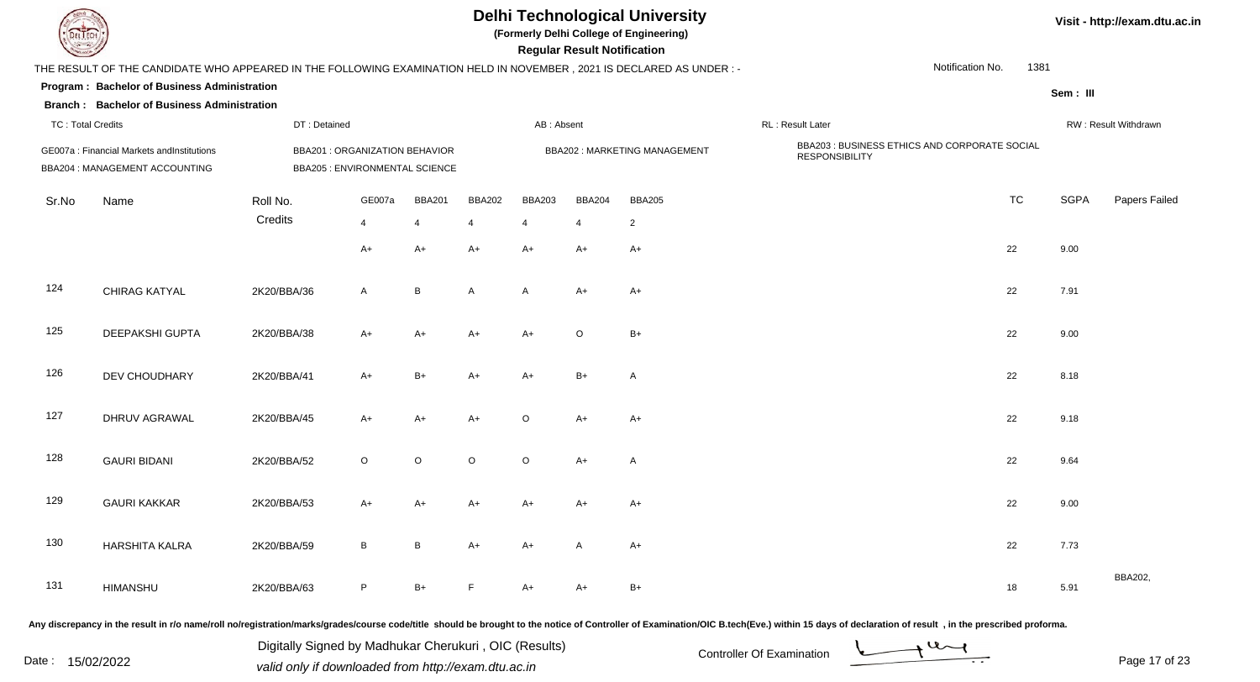| LI ECH                   |                                                                                                                      |                                                                  |              |                 |               |               | <b>Regular Result Notification</b> | <b>Delhi Technological University</b><br>(Formerly Delhi College of Engineering) |                                                                        |                  |      |             | Visit - http://exam.dtu.ac.in |
|--------------------------|----------------------------------------------------------------------------------------------------------------------|------------------------------------------------------------------|--------------|-----------------|---------------|---------------|------------------------------------|----------------------------------------------------------------------------------|------------------------------------------------------------------------|------------------|------|-------------|-------------------------------|
|                          | THE RESULT OF THE CANDIDATE WHO APPEARED IN THE FOLLOWING EXAMINATION HELD IN NOVEMBER, 2021 IS DECLARED AS UNDER :- |                                                                  |              |                 |               |               |                                    |                                                                                  |                                                                        | Notification No. | 1381 |             |                               |
|                          | Program: Bachelor of Business Administration<br><b>Branch: Bachelor of Business Administration</b>                   |                                                                  |              |                 |               |               |                                    |                                                                                  |                                                                        |                  |      | Sem: III    |                               |
| <b>TC: Total Credits</b> |                                                                                                                      | DT: Detained                                                     |              |                 |               | AB: Absent    |                                    |                                                                                  | RL: Result Later                                                       |                  |      |             | RW: Result Withdrawn          |
|                          | GE007a : Financial Markets andInstitutions<br>BBA204 : MANAGEMENT ACCOUNTING                                         | BBA201 : ORGANIZATION BEHAVIOR<br>BBA205 : ENVIRONMENTAL SCIENCE |              |                 |               |               |                                    | <b>BBA202: MARKETING MANAGEMENT</b>                                              | BBA203 : BUSINESS ETHICS AND CORPORATE SOCIAL<br><b>RESPONSIBILITY</b> |                  |      |             |                               |
| Sr.No                    | Name                                                                                                                 | Roll No.                                                         | GE007a       | <b>BBA201</b>   | <b>BBA202</b> | <b>BBA203</b> | <b>BBA204</b>                      | <b>BBA205</b>                                                                    |                                                                        | <b>TC</b>        |      | <b>SGPA</b> | Papers Failed                 |
|                          |                                                                                                                      | Credits                                                          | 4            | $\overline{4}$  | 4             | 4             | $\overline{4}$                     | $\overline{2}$                                                                   |                                                                        |                  |      |             |                               |
|                          |                                                                                                                      |                                                                  | A+           | $A+$            | $A+$          | $A+$          | A+                                 | $A+$                                                                             |                                                                        | 22               |      | 9.00        |                               |
| 124                      | CHIRAG KATYAL                                                                                                        | 2K20/BBA/36                                                      | A            | $\, {\sf B}$    | A             | A             | A+                                 | $A+$                                                                             |                                                                        | 22               |      | 7.91        |                               |
| 125                      | DEEPAKSHI GUPTA                                                                                                      | 2K20/BBA/38                                                      | A+           | $A+$            | A+            | $A+$          | $\circ$                            | $B+$                                                                             |                                                                        | 22               |      | 9.00        |                               |
| 126                      | DEV CHOUDHARY                                                                                                        | 2K20/BBA/41                                                      | $A+$         | $B+$            | $A+$          | $A+$          | $B+$                               | $\overline{A}$                                                                   |                                                                        | 22               |      | 8.18        |                               |
| 127                      | DHRUV AGRAWAL                                                                                                        | 2K20/BBA/45                                                      | $A+$         | $A+$            | $A+$          | $\circ$       | $A+$                               | $A+$                                                                             |                                                                        | 22               |      | 9.18        |                               |
| 128                      | <b>GAURI BIDANI</b>                                                                                                  | 2K20/BBA/52                                                      | $\circ$      | $\circ$         | $\circ$       | $\circ$       | $A+$                               | $\overline{A}$                                                                   |                                                                        | 22               |      | 9.64        |                               |
| 129                      | <b>GAURI KAKKAR</b>                                                                                                  | 2K20/BBA/53                                                      | A+           | A+              | A+            | $A+$          | A+                                 | A+                                                                               |                                                                        | 22               |      | 9.00        |                               |
| 130                      | HARSHITA KALRA                                                                                                       | 2K20/BBA/59                                                      | $\mathsf{B}$ | $\, {\bf B} \,$ | $A+$          | $A+$          | A                                  | $A+$                                                                             |                                                                        | 22               |      | 7.73        |                               |
| 131                      | HIMANSHU                                                                                                             | 2K20/BBA/63                                                      | P            | $B+$            | F             | A+            | A+                                 | $B+$                                                                             |                                                                        | 18               |      | 5.91        | BBA202,                       |
|                          |                                                                                                                      |                                                                  |              |                 |               |               |                                    |                                                                                  |                                                                        |                  |      |             |                               |

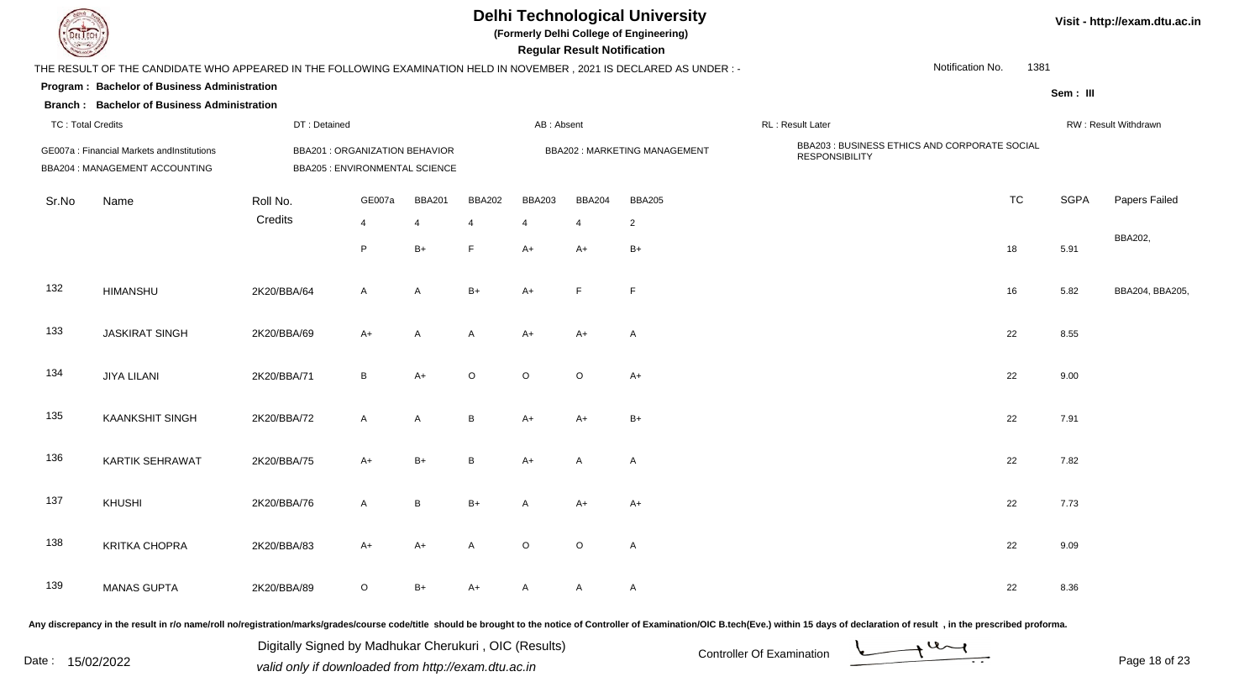| EL ECH                   |                                                                                                                      |                                                                                |              |                |               |               | <b>Regular Result Notification</b> | <b>Delhi Technological University</b><br>(Formerly Delhi College of Engineering) |                                                                        |                  |           |             | Visit - http://exam.dtu.ac.in |
|--------------------------|----------------------------------------------------------------------------------------------------------------------|--------------------------------------------------------------------------------|--------------|----------------|---------------|---------------|------------------------------------|----------------------------------------------------------------------------------|------------------------------------------------------------------------|------------------|-----------|-------------|-------------------------------|
|                          | THE RESULT OF THE CANDIDATE WHO APPEARED IN THE FOLLOWING EXAMINATION HELD IN NOVEMBER, 2021 IS DECLARED AS UNDER :- |                                                                                |              |                |               |               |                                    |                                                                                  |                                                                        | Notification No. | 1381      |             |                               |
|                          | Program: Bachelor of Business Administration                                                                         |                                                                                |              |                |               |               |                                    |                                                                                  |                                                                        |                  |           | Sem: III    |                               |
|                          | <b>Branch: Bachelor of Business Administration</b>                                                                   |                                                                                |              |                |               |               |                                    |                                                                                  |                                                                        |                  |           |             |                               |
| <b>TC: Total Credits</b> |                                                                                                                      | DT: Detained                                                                   |              |                |               | AB: Absent    |                                    |                                                                                  | RL : Result Later                                                      |                  |           |             | RW: Result Withdrawn          |
|                          | GE007a: Financial Markets andInstitutions<br>BBA204 : MANAGEMENT ACCOUNTING                                          | <b>BBA201 : ORGANIZATION BEHAVIOR</b><br><b>BBA205 : ENVIRONMENTAL SCIENCE</b> |              |                |               |               |                                    | <b>BBA202: MARKETING MANAGEMENT</b>                                              | BBA203 : BUSINESS ETHICS AND CORPORATE SOCIAL<br><b>RESPONSIBILITY</b> |                  |           |             |                               |
| Sr.No                    | Name                                                                                                                 | Roll No.                                                                       | GE007a       | <b>BBA201</b>  | <b>BBA202</b> | <b>BBA203</b> | <b>BBA204</b>                      | <b>BBA205</b>                                                                    |                                                                        |                  | <b>TC</b> | <b>SGPA</b> | Papers Failed                 |
|                          |                                                                                                                      | Credits                                                                        | 4            | $\overline{4}$ | 4             | 4             | $\overline{4}$                     | $\overline{a}$                                                                   |                                                                        |                  |           |             |                               |
|                          |                                                                                                                      |                                                                                | P            | $B+$           | E             | $A+$          | A+                                 | $B+$                                                                             |                                                                        | 18               |           | 5.91        | BBA202,                       |
| 132                      | <b>HIMANSHU</b>                                                                                                      | 2K20/BBA/64                                                                    | $\mathsf{A}$ | A              | $B+$          | $A+$          | F.                                 | F                                                                                |                                                                        | 16               |           | 5.82        | BBA204, BBA205,               |
| 133                      | <b>JASKIRAT SINGH</b>                                                                                                | 2K20/BBA/69                                                                    | $A+$         | A              | A             | $A+$          | A+                                 | A                                                                                |                                                                        | 22               |           | 8.55        |                               |
| 134                      | <b>JIYA LILANI</b>                                                                                                   | 2K20/BBA/71                                                                    | B            | $A+$           | $\circ$       | $\circ$       | $\circ$                            | $A+$                                                                             |                                                                        | 22               |           | 9.00        |                               |
| 135                      | <b>KAANKSHIT SINGH</b>                                                                                               | 2K20/BBA/72                                                                    | A            | A              | B             | $A+$          | A+                                 | $B+$                                                                             |                                                                        | 22               |           | 7.91        |                               |
| 136                      | KARTIK SEHRAWAT                                                                                                      | 2K20/BBA/75                                                                    | $A+$         | $B+$           | B             | $A+$          | A                                  | A                                                                                |                                                                        | 22               |           | 7.82        |                               |
| 137                      | KHUSHI                                                                                                               | 2K20/BBA/76                                                                    | A            | B              | B+            |               | A+                                 | A+                                                                               |                                                                        | 22               |           | 7.73        |                               |
| 138                      | <b>KRITKA CHOPRA</b>                                                                                                 | 2K20/BBA/83                                                                    | $A+$         | $A+$           | $\mathsf{A}$  | $\circ$       | $\circ$                            | $\mathsf{A}$                                                                     |                                                                        | 22               |           | 9.09        |                               |
| 139                      | <b>MANAS GUPTA</b>                                                                                                   | 2K20/BBA/89                                                                    | $\circ$      | $B+$           | $A+$          | $\mathsf{A}$  | A                                  | $\mathsf{A}$                                                                     |                                                                        | 22               |           | 8.36        |                               |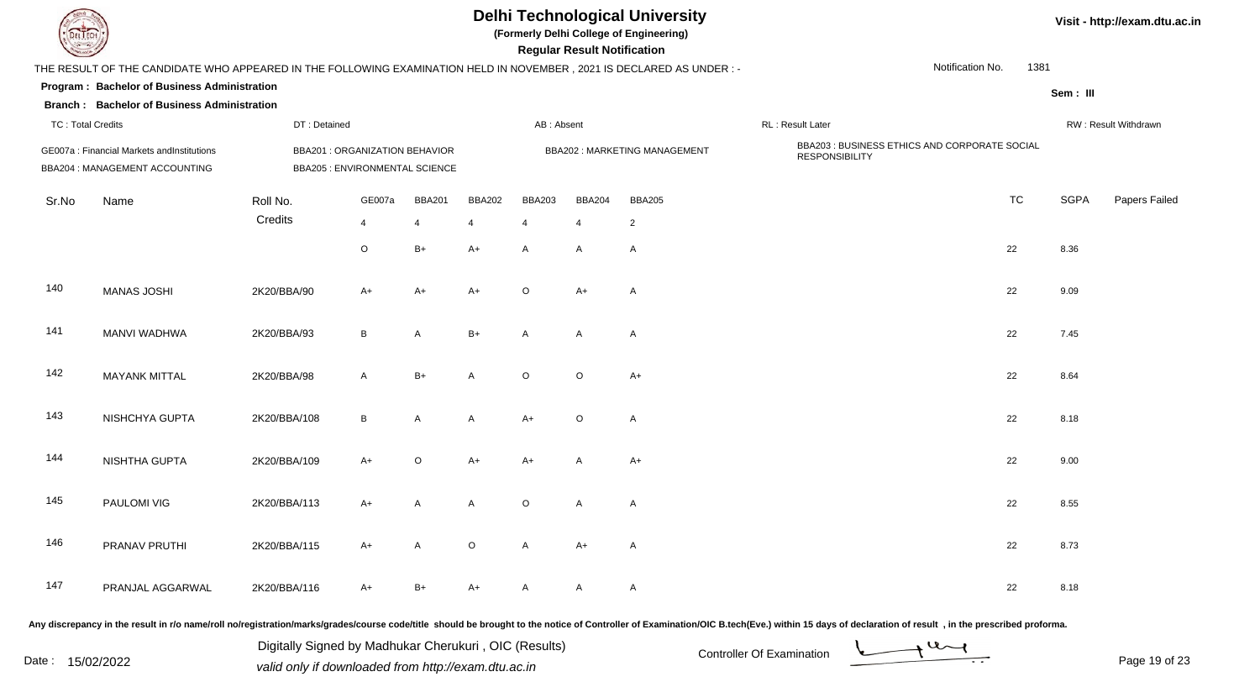|                          |                                                                                                                     |              |                                                                        |                         |               |                         | <b>Regular Result Notification</b> | <b>Delhi Technological University</b><br>(Formerly Delhi College of Engineering) |                                                                        |                  |      |             | Visit - http://exam.dtu.ac.in |
|--------------------------|---------------------------------------------------------------------------------------------------------------------|--------------|------------------------------------------------------------------------|-------------------------|---------------|-------------------------|------------------------------------|----------------------------------------------------------------------------------|------------------------------------------------------------------------|------------------|------|-------------|-------------------------------|
|                          | THE RESULT OF THE CANDIDATE WHO APPEARED IN THE FOLLOWING EXAMINATION HELD IN NOVEMBER, 2021 IS DECLARED AS UNDER:- |              |                                                                        |                         |               |                         |                                    |                                                                                  |                                                                        | Notification No. | 1381 |             |                               |
|                          | Program: Bachelor of Business Administration                                                                        |              |                                                                        |                         |               |                         |                                    |                                                                                  |                                                                        |                  |      | Sem : III   |                               |
|                          | <b>Branch: Bachelor of Business Administration</b>                                                                  |              |                                                                        |                         |               |                         |                                    |                                                                                  |                                                                        |                  |      |             |                               |
| <b>TC: Total Credits</b> |                                                                                                                     | DT: Detained |                                                                        |                         |               | AB: Absent              |                                    |                                                                                  | RL: Result Later                                                       |                  |      |             | RW: Result Withdrawn          |
|                          | GE007a: Financial Markets and Institutions<br>BBA204 : MANAGEMENT ACCOUNTING                                        |              | BBA201: ORGANIZATION BEHAVIOR<br><b>BBA205 : ENVIRONMENTAL SCIENCE</b> |                         |               |                         |                                    | BBA202: MARKETING MANAGEMENT                                                     | BBA203 : BUSINESS ETHICS AND CORPORATE SOCIAL<br><b>RESPONSIBILITY</b> |                  |      |             |                               |
| Sr.No                    | Name                                                                                                                | Roll No.     | GE007a                                                                 | <b>BBA201</b>           | <b>BBA202</b> | <b>BBA203</b>           | <b>BBA204</b>                      | <b>BBA205</b>                                                                    |                                                                        | <b>TC</b>        |      | <b>SGPA</b> | Papers Failed                 |
|                          |                                                                                                                     | Credits      | 4                                                                      | $\overline{\mathbf{A}}$ |               | $\overline{\mathbf{4}}$ | $\overline{4}$                     | $\overline{2}$                                                                   |                                                                        |                  |      |             |                               |
|                          |                                                                                                                     |              | $\circ$                                                                | $B+$                    | $A+$          | $\mathsf{A}$            | A                                  | A                                                                                |                                                                        | 22               |      | 8.36        |                               |
| 140                      | <b>MANAS JOSHI</b>                                                                                                  | 2K20/BBA/90  | $A+$                                                                   | $A+$                    | $A+$          | $\Omega$                | $A+$                               | A                                                                                |                                                                        | 22               |      | 9.09        |                               |
| 141                      | <b>MANVI WADHWA</b>                                                                                                 | 2K20/BBA/93  | B                                                                      | A                       | $B+$          | $\mathsf{A}$            | A                                  | A                                                                                |                                                                        | 22               |      | 7.45        |                               |
| 142                      | <b>MAYANK MITTAL</b>                                                                                                | 2K20/BBA/98  | A                                                                      | $B+$                    | A             | $\circ$                 | $\circ$                            | $A+$                                                                             |                                                                        | 22               |      | 8.64        |                               |
| 143                      | NISHCHYA GUPTA                                                                                                      | 2K20/BBA/108 | B                                                                      | A                       | A             | $A+$                    | $\circ$                            | A                                                                                |                                                                        | 22               |      | 8.18        |                               |
| 144                      | NISHTHA GUPTA                                                                                                       | 2K20/BBA/109 | $A+$                                                                   | $\mathsf O$             | $A+$          | $A+$                    | A                                  | $A+$                                                                             |                                                                        | 22               |      | 9.00        |                               |
| 145                      | PAULOMI VIG                                                                                                         | 2K20/BBA/113 | $A+$                                                                   | A                       | $\mathsf{A}$  | $\circ$                 | A                                  | $\mathsf{A}$                                                                     |                                                                        | 22               |      | 8.55        |                               |
| 146                      | PRANAV PRUTHI                                                                                                       | 2K20/BBA/115 | $A+$                                                                   | A                       | $\circ$       | $\mathsf{A}$            | $A+$                               | A                                                                                |                                                                        | 22               |      | 8.73        |                               |
| 147                      | PRANJAL AGGARWAL                                                                                                    | 2K20/BBA/116 | A+                                                                     | $B+$                    | A+            | A                       | A                                  | A                                                                                |                                                                        | 22               |      | 8.18        |                               |

Page 19 of 23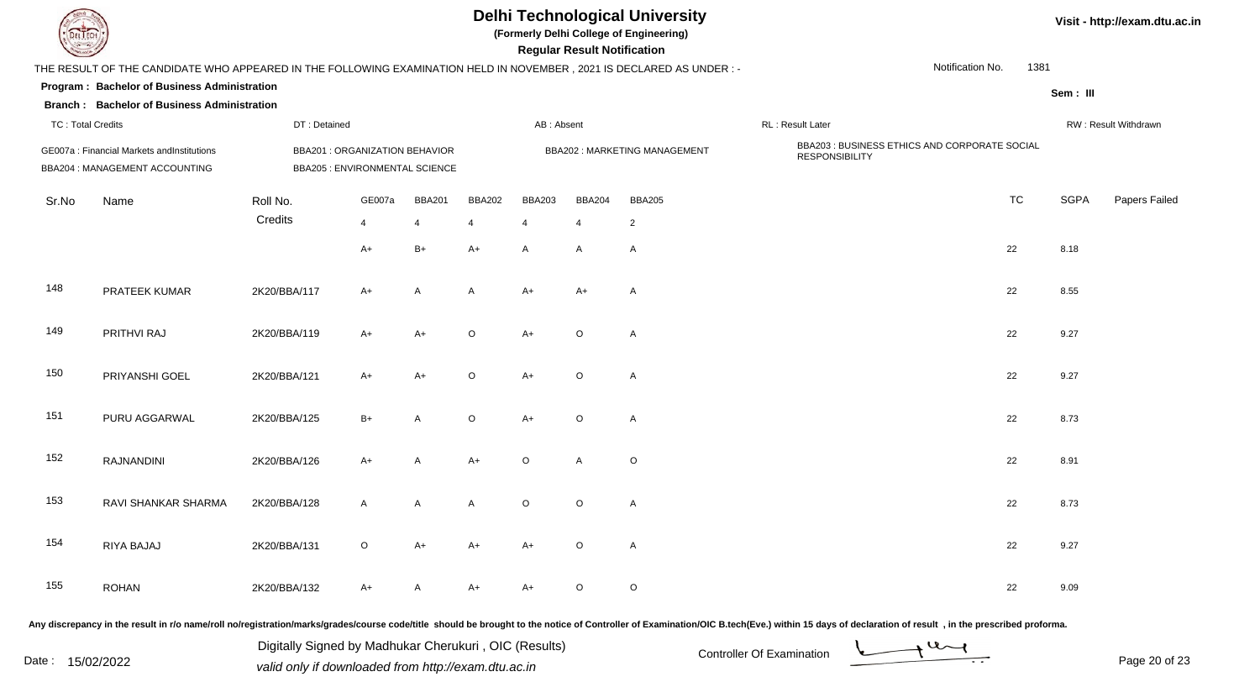| EL I ECH                 |                                                                                                                      |                                                                         |         |                |                |               | <b>Regular Result Notification</b> | <b>Delhi Technological University</b><br>(Formerly Delhi College of Engineering) |                                                                        |                  |      |             | Visit - http://exam.dtu.ac.in |
|--------------------------|----------------------------------------------------------------------------------------------------------------------|-------------------------------------------------------------------------|---------|----------------|----------------|---------------|------------------------------------|----------------------------------------------------------------------------------|------------------------------------------------------------------------|------------------|------|-------------|-------------------------------|
|                          | THE RESULT OF THE CANDIDATE WHO APPEARED IN THE FOLLOWING EXAMINATION HELD IN NOVEMBER, 2021 IS DECLARED AS UNDER :- |                                                                         |         |                |                |               |                                    |                                                                                  |                                                                        | Notification No. | 1381 |             |                               |
|                          | Program: Bachelor of Business Administration                                                                         |                                                                         |         |                |                |               |                                    |                                                                                  |                                                                        |                  |      | Sem: III    |                               |
|                          | <b>Branch: Bachelor of Business Administration</b>                                                                   |                                                                         |         |                |                |               |                                    |                                                                                  |                                                                        |                  |      |             |                               |
| <b>TC: Total Credits</b> |                                                                                                                      | DT: Detained                                                            |         |                |                | AB: Absent    |                                    |                                                                                  | RL: Result Later                                                       |                  |      |             | RW: Result Withdrawn          |
|                          | GE007a : Financial Markets andInstitutions<br>BBA204 : MANAGEMENT ACCOUNTING                                         | <b>BBA201 : ORGANIZATION BEHAVIOR</b><br>BBA205 : ENVIRONMENTAL SCIENCE |         |                |                |               |                                    | BBA202: MARKETING MANAGEMENT                                                     | BBA203 : BUSINESS ETHICS AND CORPORATE SOCIAL<br><b>RESPONSIBILITY</b> |                  |      |             |                               |
| Sr.No                    | Name                                                                                                                 | Roll No.                                                                | GE007a  | <b>BBA201</b>  | <b>BBA202</b>  | <b>BBA203</b> | <b>BBA204</b>                      | <b>BBA205</b>                                                                    |                                                                        | <b>TC</b>        |      | <b>SGPA</b> | Papers Failed                 |
|                          |                                                                                                                      | Credits                                                                 | 4       | $\overline{4}$ | $\overline{4}$ | 4             | $\overline{4}$                     | $\overline{2}$                                                                   |                                                                        |                  |      |             |                               |
|                          |                                                                                                                      |                                                                         | $A+$    | $B+$           | $A+$           | $\mathsf{A}$  | A                                  | A                                                                                |                                                                        | 22               |      | 8.18        |                               |
| 148                      | PRATEEK KUMAR                                                                                                        | 2K20/BBA/117                                                            | A+      | A              | A              | $A+$          | A+                                 | A                                                                                |                                                                        | 22               |      | 8.55        |                               |
| 149                      | PRITHVI RAJ                                                                                                          | 2K20/BBA/119                                                            | $A+$    | $A+$           | $\circ$        | $A+$          | $\circ$                            | A                                                                                |                                                                        | 22               |      | 9.27        |                               |
| 150                      | PRIYANSHI GOEL                                                                                                       | 2K20/BBA/121                                                            | $A+$    | $A+$           | $\circ$        | $A+$          | $\circ$                            | A                                                                                |                                                                        | 22               |      | 9.27        |                               |
| 151                      | PURU AGGARWAL                                                                                                        | 2K20/BBA/125                                                            | $B+$    | A              | $\circ$        | $A+$          | $\circ$                            | A                                                                                |                                                                        | 22               |      | 8.73        |                               |
| 152                      | RAJNANDINI                                                                                                           | 2K20/BBA/126                                                            | $A+$    | A              | $A+$           | $\circ$       | $\mathsf{A}$                       | $\circ$                                                                          |                                                                        | 22               |      | 8.91        |                               |
| 153                      | RAVI SHANKAR SHARMA                                                                                                  | 2K20/BBA/128                                                            | A       | A              | А              | $\circ$       | $\circ$                            | A                                                                                |                                                                        | 22               |      | 8.73        |                               |
| 154                      | RIYA BAJAJ                                                                                                           | 2K20/BBA/131                                                            | $\circ$ | $A+$           | $A+$           | $A+$          | $\circ$                            | $\mathsf{A}$                                                                     |                                                                        | 22               |      | 9.27        |                               |
| 155                      | <b>ROHAN</b>                                                                                                         | 2K20/BBA/132                                                            | A+      | $\mathsf{A}$   | $A+$           | $A+$          | $\circ$                            | $\circ$                                                                          |                                                                        | 22               |      | 9.09        |                               |
|                          |                                                                                                                      |                                                                         |         |                |                |               |                                    |                                                                                  |                                                                        |                  |      |             |                               |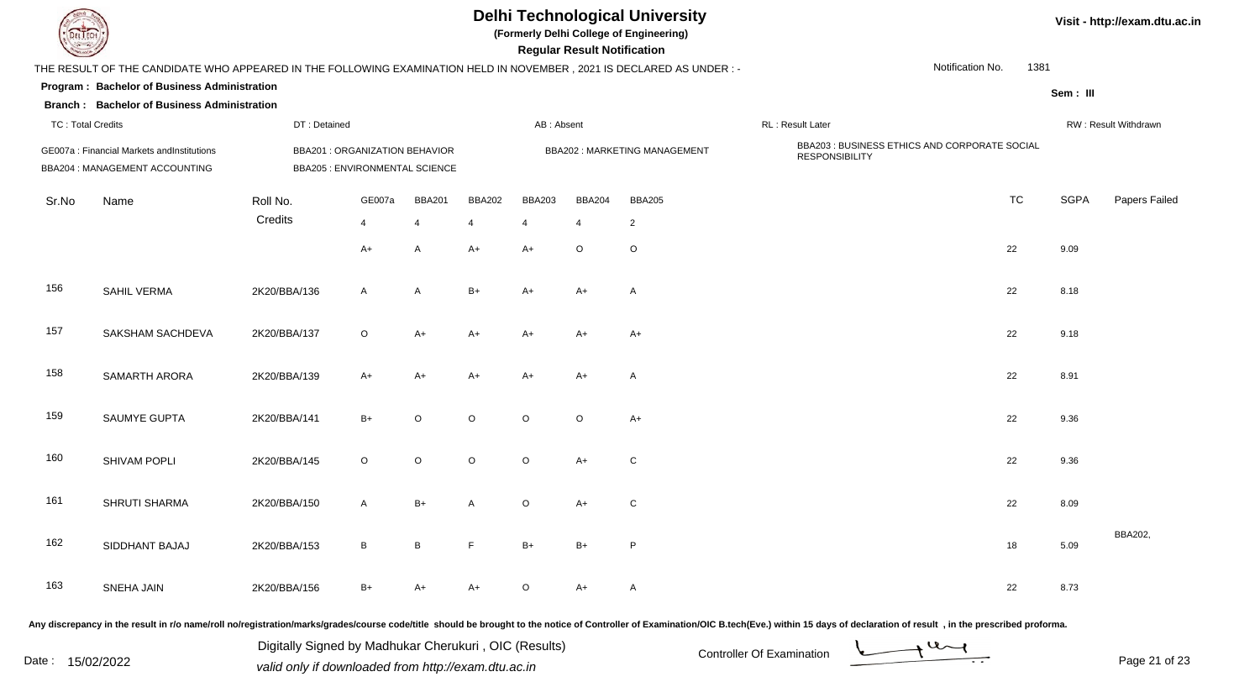|                          |                                                                                                                      |                                                                  |              |                 |               |               | <b>Regular Result Notification</b> | <b>Delhi Technological University</b><br>(Formerly Delhi College of Engineering) |                                                                        |                  |      |             | Visit - http://exam.dtu.ac.in |
|--------------------------|----------------------------------------------------------------------------------------------------------------------|------------------------------------------------------------------|--------------|-----------------|---------------|---------------|------------------------------------|----------------------------------------------------------------------------------|------------------------------------------------------------------------|------------------|------|-------------|-------------------------------|
|                          | THE RESULT OF THE CANDIDATE WHO APPEARED IN THE FOLLOWING EXAMINATION HELD IN NOVEMBER, 2021 IS DECLARED AS UNDER :- |                                                                  |              |                 |               |               |                                    |                                                                                  |                                                                        | Notification No. | 1381 |             |                               |
|                          | Program: Bachelor of Business Administration<br><b>Branch: Bachelor of Business Administration</b>                   |                                                                  |              |                 |               |               |                                    |                                                                                  |                                                                        |                  |      | Sem: III    |                               |
| <b>TC: Total Credits</b> |                                                                                                                      | DT: Detained                                                     |              |                 |               | AB: Absent    |                                    |                                                                                  | RL: Result Later                                                       |                  |      |             | RW: Result Withdrawn          |
|                          | GE007a : Financial Markets andInstitutions<br>BBA204 : MANAGEMENT ACCOUNTING                                         | BBA201 : ORGANIZATION BEHAVIOR<br>BBA205 : ENVIRONMENTAL SCIENCE |              |                 |               |               |                                    | BBA202: MARKETING MANAGEMENT                                                     | BBA203 : BUSINESS ETHICS AND CORPORATE SOCIAL<br><b>RESPONSIBILITY</b> |                  |      |             |                               |
| Sr.No                    | Name                                                                                                                 | Roll No.                                                         | GE007a       | <b>BBA201</b>   | <b>BBA202</b> | <b>BBA203</b> | <b>BBA204</b>                      | <b>BBA205</b>                                                                    |                                                                        | <b>TC</b>        |      | <b>SGPA</b> | Papers Failed                 |
|                          |                                                                                                                      | Credits                                                          | 4            | $\overline{4}$  | 4             | 4             | $\overline{4}$                     | $\overline{2}$                                                                   |                                                                        |                  |      |             |                               |
|                          |                                                                                                                      |                                                                  | A+           | A               | $A+$          | $A+$          | $\circ$                            | $\mathsf O$                                                                      |                                                                        | 22               |      | 9.09        |                               |
| 156                      | SAHIL VERMA                                                                                                          | 2K20/BBA/136                                                     | A            | A               | $B+$          | $A+$          | A+                                 | $\overline{A}$                                                                   |                                                                        | 22               |      | 8.18        |                               |
| 157                      | SAKSHAM SACHDEVA                                                                                                     | 2K20/BBA/137                                                     | $\circ$      | $A+$            | $A+$          | $A+$          | $A+$                               | $A+$                                                                             |                                                                        | 22               |      | 9.18        |                               |
| 158                      | SAMARTH ARORA                                                                                                        | 2K20/BBA/139                                                     | A+           | $A+$            | $A+$          | $A+$          | A+                                 | A                                                                                |                                                                        | 22               |      | 8.91        |                               |
| 159                      | SAUMYE GUPTA                                                                                                         | 2K20/BBA/141                                                     | $B+$         | $\circ$         | $\circ$       | $\circ$       | $\circ$                            | $A+$                                                                             |                                                                        | 22               |      | 9.36        |                               |
| 160                      | SHIVAM POPLI                                                                                                         | 2K20/BBA/145                                                     | $\circ$      | $\circ$         | $\circ$       | $\circ$       | $A+$                               | $\mathsf{C}$                                                                     |                                                                        | 22               |      | 9.36        |                               |
| 161                      | SHRUTI SHARMA                                                                                                        | 2K20/BBA/150                                                     | A            | $B+$            | A             | $\circ$       | A+                                 | ${\rm C}$                                                                        |                                                                        | 22               |      | 8.09        |                               |
| 162                      | SIDDHANT BAJAJ                                                                                                       | 2K20/BBA/153                                                     | $\mathsf{B}$ | $\, {\bf B} \,$ | F             | $B+$          | $B+$                               | P                                                                                |                                                                        | 18               |      | 5.09        | BBA202,                       |
| 163                      | SNEHA JAIN                                                                                                           | 2K20/BBA/156                                                     | B+           | $A+$            | A+            | $\circ$       | A+                                 | $\mathsf{A}$                                                                     |                                                                        | 22               |      | 8.73        |                               |
|                          |                                                                                                                      |                                                                  |              |                 |               |               |                                    |                                                                                  |                                                                        |                  |      |             |                               |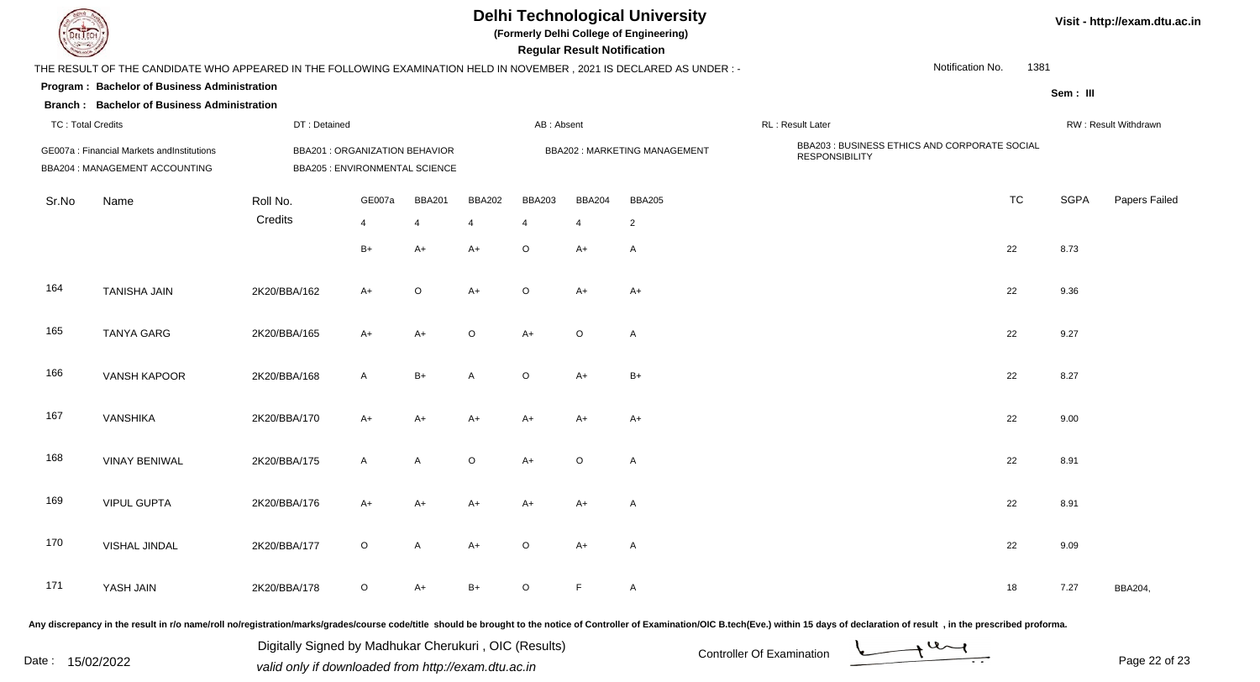| EL ECH                   |                                                                                                                      |                                                                         |                |                          |               |                | <b>Regular Result Notification</b> | <b>Delhi Technological University</b><br>(Formerly Delhi College of Engineering) |                                                                        |                  |      |             | Visit - http://exam.dtu.ac.in |
|--------------------------|----------------------------------------------------------------------------------------------------------------------|-------------------------------------------------------------------------|----------------|--------------------------|---------------|----------------|------------------------------------|----------------------------------------------------------------------------------|------------------------------------------------------------------------|------------------|------|-------------|-------------------------------|
|                          | THE RESULT OF THE CANDIDATE WHO APPEARED IN THE FOLLOWING EXAMINATION HELD IN NOVEMBER, 2021 IS DECLARED AS UNDER :- |                                                                         |                |                          |               |                |                                    |                                                                                  |                                                                        | Notification No. | 1381 |             |                               |
|                          | Program: Bachelor of Business Administration<br><b>Branch: Bachelor of Business Administration</b>                   |                                                                         |                |                          |               |                |                                    |                                                                                  |                                                                        |                  |      | Sem: III    |                               |
| <b>TC: Total Credits</b> |                                                                                                                      | DT: Detained                                                            |                |                          |               | AB: Absent     |                                    |                                                                                  | RL: Result Later                                                       |                  |      |             | RW: Result Withdrawn          |
|                          | GE007a : Financial Markets andInstitutions<br>BBA204 : MANAGEMENT ACCOUNTING                                         | <b>BBA201 : ORGANIZATION BEHAVIOR</b><br>BBA205 : ENVIRONMENTAL SCIENCE |                |                          |               |                |                                    | BBA202: MARKETING MANAGEMENT                                                     | BBA203 : BUSINESS ETHICS AND CORPORATE SOCIAL<br><b>RESPONSIBILITY</b> |                  |      |             |                               |
| Sr.No                    | Name                                                                                                                 | Roll No.                                                                | GE007a         | <b>BBA201</b>            | <b>BBA202</b> | <b>BBA203</b>  | <b>BBA204</b>                      | <b>BBA205</b>                                                                    |                                                                        | <b>TC</b>        |      | <b>SGPA</b> | Papers Failed                 |
|                          |                                                                                                                      | Credits                                                                 | $\overline{4}$ | $\overline{\mathcal{A}}$ | 4             | $\overline{4}$ | $\overline{4}$                     | $\overline{c}$                                                                   |                                                                        |                  |      |             |                               |
|                          |                                                                                                                      |                                                                         | $B+$           | $A+$                     | $A+$          | $\circ$        | A+                                 | $\overline{A}$                                                                   |                                                                        | 22               |      | 8.73        |                               |
| 164                      | <b>TANISHA JAIN</b>                                                                                                  | 2K20/BBA/162                                                            | A+             | $\circ$                  | $A+$          | $\circ$        | $A+$                               | $A+$                                                                             |                                                                        | 22               |      | 9.36        |                               |
| 165                      | <b>TANYA GARG</b>                                                                                                    | 2K20/BBA/165                                                            | $A+$           | $A+$                     | $\circ$       | $A+$           | $\circ$                            | $\overline{A}$                                                                   |                                                                        | 22               |      | 9.27        |                               |
| 166                      | VANSH KAPOOR                                                                                                         | 2K20/BBA/168                                                            | A              | $B+$                     | A             | $\circ$        | $A+$                               | $B+$                                                                             |                                                                        | 22               |      | 8.27        |                               |
| 167                      | <b>VANSHIKA</b>                                                                                                      | 2K20/BBA/170                                                            | A+             | $A+$                     | $A+$          | $A+$           | A+                                 | A+                                                                               |                                                                        | 22               |      | 9.00        |                               |
| 168                      | <b>VINAY BENIWAL</b>                                                                                                 | 2K20/BBA/175                                                            | A              | A                        | $\circ$       | $A+$           | $\circ$                            | $\overline{A}$                                                                   |                                                                        | 22               |      | 8.91        |                               |
| 169                      | <b>VIPUL GUPTA</b>                                                                                                   | 2K20/BBA/176                                                            | A+             | A+                       | A+            | $A+$           | A+                                 | A                                                                                |                                                                        | 22               |      | 8.91        |                               |
| 170                      | VISHAL JINDAL                                                                                                        | 2K20/BBA/177                                                            | $\circ$        | $\mathsf{A}$             | $A+$          | $\circ$        | $A+$                               | $\mathsf{A}$                                                                     |                                                                        | 22               |      | 9.09        |                               |
| 171                      | YASH JAIN                                                                                                            | 2K20/BBA/178                                                            | $\circ$        | $A+$                     | $B+$          | $\circ$        | F                                  | $\mathsf{A}$                                                                     |                                                                        | 18               |      | 7.27        | BBA204,                       |